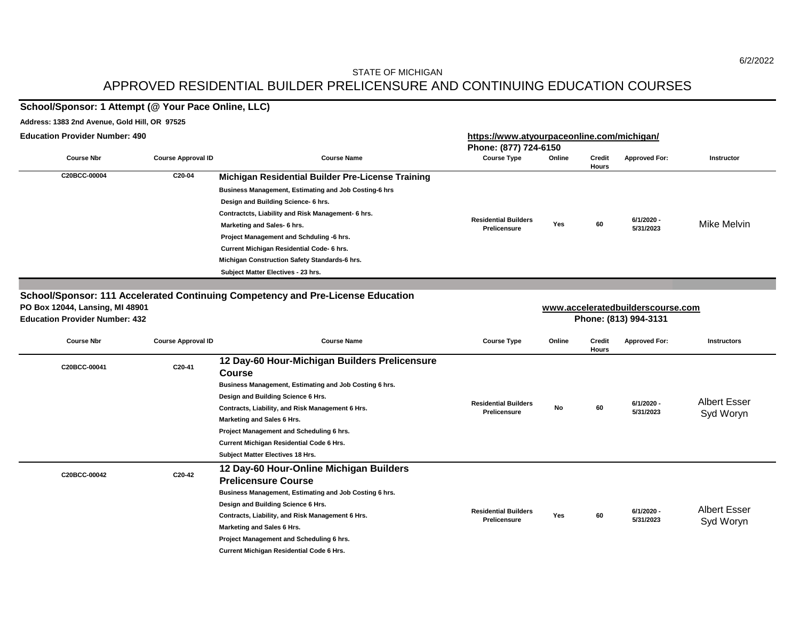# APPROVED RESIDENTIAL BUILDER PRELICENSURE AND CONTINUING EDUCATION COURSES STATE OF MICHIGAN

# **School/Sponsor: 1 Attempt (@ Your Pace Online, LLC)**

#### **Address: 1383 2nd Avenue, Gold Hill, OR 97525**

| <b>Education Provider Number: 490</b> |                           |                                                              | https://www.atyourpaceonline.com/michigan/ |        |                        |                      |                   |  |  |
|---------------------------------------|---------------------------|--------------------------------------------------------------|--------------------------------------------|--------|------------------------|----------------------|-------------------|--|--|
|                                       |                           |                                                              | Phone: (877) 724-6150                      |        |                        |                      |                   |  |  |
| <b>Course Nbr</b>                     | <b>Course Approval ID</b> | <b>Course Name</b>                                           | <b>Course Type</b>                         | Online | <b>Credit</b><br>Hours | <b>Approved For:</b> | <b>Instructor</b> |  |  |
| C20BCC-00004                          | C20-04                    | Michigan Residential Builder Pre-License Training            |                                            |        |                        |                      |                   |  |  |
|                                       |                           | <b>Business Management, Estimating and Job Costing-6 hrs</b> |                                            |        |                        |                      |                   |  |  |
|                                       |                           | Design and Building Science- 6 hrs.                          |                                            |        |                        |                      |                   |  |  |
|                                       |                           | Contractcts, Liability and Risk Management- 6 hrs.           | <b>Residential Builders</b>                |        |                        | 6/1/2020 -           |                   |  |  |
|                                       |                           | Marketing and Sales- 6 hrs.                                  | Prelicensure                               | Yes    | 60                     | 5/31/2023            | Mike Melvin       |  |  |
|                                       |                           | Project Management and Schduling -6 hrs.                     |                                            |        |                        |                      |                   |  |  |
|                                       |                           | Current Michigan Residential Code- 6 hrs.                    |                                            |        |                        |                      |                   |  |  |
|                                       |                           | Michigan Construction Safety Standards-6 hrs.                |                                            |        |                        |                      |                   |  |  |
|                                       |                           | Subject Matter Electives - 23 hrs.                           |                                            |        |                        |                      |                   |  |  |

**School/Sponsor: 111 Accelerated Continuing Competency and Pre-License Education**

| PO Box 12044, Lansing, MI 48901       |                           |                                                         | www.acceleratedbuilderscourse.com |        |                        |                      |                    |  |  |
|---------------------------------------|---------------------------|---------------------------------------------------------|-----------------------------------|--------|------------------------|----------------------|--------------------|--|--|
| <b>Education Provider Number: 432</b> |                           |                                                         | Phone: (813) 994-3131             |        |                        |                      |                    |  |  |
| <b>Course Nbr</b>                     | <b>Course Approval ID</b> | <b>Course Name</b>                                      | <b>Course Type</b>                | Online | <b>Credit</b><br>Hours | <b>Approved For:</b> | <b>Instructors</b> |  |  |
| C20BCC-00041                          | C20-41                    | 12 Day-60 Hour-Michigan Builders Prelicensure<br>Course |                                   |        |                        |                      |                    |  |  |
|                                       |                           | Business Management, Estimating and Job Costing 6 hrs.  |                                   |        |                        |                      |                    |  |  |

|              |        | Design and Building Science 6 Hrs.                     |                                             |            |    |                           | <b>Albert Esser</b> |
|--------------|--------|--------------------------------------------------------|---------------------------------------------|------------|----|---------------------------|---------------------|
|              |        | Contracts, Liability, and Risk Management 6 Hrs.       | <b>Residential Builders</b><br>Prelicensure | No         | 60 | $6/1/2020 -$<br>5/31/2023 | Syd Woryn           |
|              |        | Marketing and Sales 6 Hrs.                             |                                             |            |    |                           |                     |
|              |        | Project Management and Scheduling 6 hrs.               |                                             |            |    |                           |                     |
|              |        | <b>Current Michigan Residential Code 6 Hrs.</b>        |                                             |            |    |                           |                     |
|              |        | <b>Subject Matter Electives 18 Hrs.</b>                |                                             |            |    |                           |                     |
|              |        | 12 Day-60 Hour-Online Michigan Builders                |                                             |            |    |                           |                     |
| C20BCC-00042 | C20-42 | <b>Prelicensure Course</b>                             |                                             |            |    |                           |                     |
|              |        | Business Management, Estimating and Job Costing 6 hrs. |                                             |            |    |                           |                     |
|              |        | Design and Building Science 6 Hrs.                     |                                             |            |    |                           | <b>Albert Esser</b> |
|              |        | Contracts, Liability, and Risk Management 6 Hrs.       | <b>Residential Builders</b><br>Prelicensure | <b>Yes</b> | 60 | $6/1/2020 -$<br>5/31/2023 |                     |
|              |        | Marketing and Sales 6 Hrs.                             |                                             |            |    |                           | Syd Woryn           |
|              |        | Project Management and Scheduling 6 hrs.               |                                             |            |    |                           |                     |
|              |        | <b>Current Michigan Residential Code 6 Hrs.</b>        |                                             |            |    |                           |                     |

6/2/2022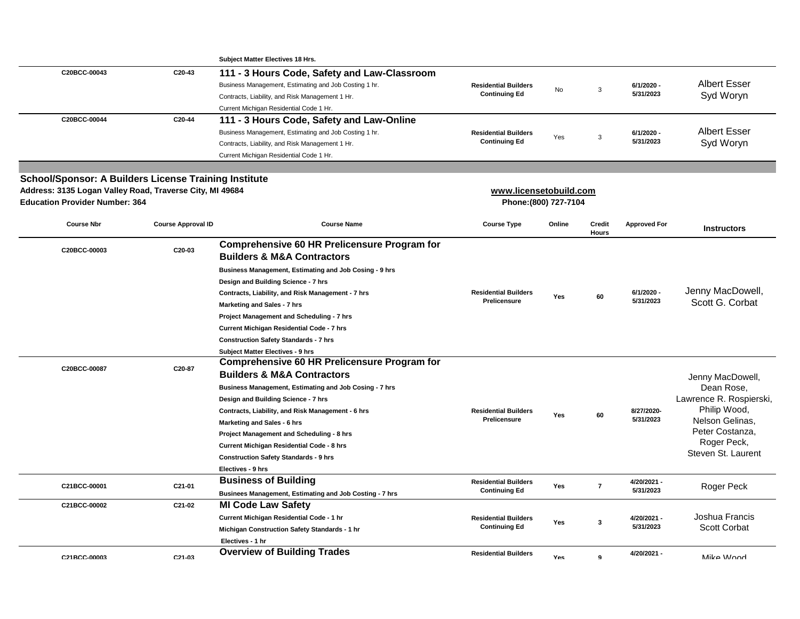|                                                              |                           | <b>Subject Matter Electives 18 Hrs.</b>                 |                                                    |        |                |                         |                                   |
|--------------------------------------------------------------|---------------------------|---------------------------------------------------------|----------------------------------------------------|--------|----------------|-------------------------|-----------------------------------|
| C20BCC-00043                                                 | C20-43                    | 111 - 3 Hours Code, Safety and Law-Classroom            |                                                    |        |                |                         |                                   |
|                                                              |                           | Business Management, Estimating and Job Costing 1 hr.   | <b>Residential Builders</b>                        |        |                | 6/1/2020 -              | <b>Albert Esser</b>               |
|                                                              |                           | Contracts, Liability, and Risk Management 1 Hr.         | <b>Continuing Ed</b>                               | No     | 3              | 5/31/2023               | Syd Woryn                         |
|                                                              |                           | Current Michigan Residential Code 1 Hr.                 |                                                    |        |                |                         |                                   |
| C20BCC-00044                                                 | C20-44                    | 111 - 3 Hours Code, Safety and Law-Online               |                                                    |        |                |                         |                                   |
|                                                              |                           | Business Management, Estimating and Job Costing 1 hr.   | <b>Residential Builders</b>                        |        |                | 6/1/2020 -              | <b>Albert Esser</b>               |
|                                                              |                           | Contracts, Liability, and Risk Management 1 Hr.         | <b>Continuing Ed</b>                               | Yes    | 3              | 5/31/2023               | Syd Woryn                         |
|                                                              |                           | Current Michigan Residential Code 1 Hr.                 |                                                    |        |                |                         |                                   |
|                                                              |                           |                                                         |                                                    |        |                |                         |                                   |
| <b>School/Sponsor: A Builders License Training Institute</b> |                           |                                                         |                                                    |        |                |                         |                                   |
| Address: 3135 Logan Valley Road, Traverse City, MI 49684     |                           |                                                         | www.licensetobuild.com                             |        |                |                         |                                   |
| <b>Education Provider Number: 364</b>                        |                           |                                                         | Phone: (800) 727-7104                              |        |                |                         |                                   |
|                                                              |                           |                                                         |                                                    |        |                |                         |                                   |
| <b>Course Nbr</b>                                            | <b>Course Approval ID</b> | <b>Course Name</b>                                      | <b>Course Type</b>                                 | Online | <b>Credit</b>  | <b>Approved For</b>     | <b>Instructors</b>                |
|                                                              |                           |                                                         |                                                    |        | <b>Hours</b>   |                         |                                   |
| C20BCC-00003                                                 | C20-03                    | <b>Comprehensive 60 HR Prelicensure Program for</b>     |                                                    |        |                |                         |                                   |
|                                                              |                           | <b>Builders &amp; M&amp;A Contractors</b>               |                                                    |        |                |                         |                                   |
|                                                              |                           | Business Management, Estimating and Job Cosing - 9 hrs  |                                                    |        |                |                         |                                   |
|                                                              |                           | Design and Building Science - 7 hrs                     |                                                    |        |                |                         |                                   |
|                                                              |                           | Contracts, Liability, and Risk Management - 7 hrs       | <b>Residential Builders</b><br><b>Prelicensure</b> | Yes    | 60             | 6/1/2020 -<br>5/31/2023 | Jenny MacDowell,                  |
|                                                              |                           | Marketing and Sales - 7 hrs                             |                                                    |        |                |                         | Scott G. Corbat                   |
|                                                              |                           | Project Management and Scheduling - 7 hrs               |                                                    |        |                |                         |                                   |
|                                                              |                           | Current Michigan Residential Code - 7 hrs               |                                                    |        |                |                         |                                   |
|                                                              |                           | <b>Construction Safety Standards - 7 hrs</b>            |                                                    |        |                |                         |                                   |
|                                                              |                           | <b>Subject Matter Electives - 9 hrs</b>                 |                                                    |        |                |                         |                                   |
| C20BCC-00087                                                 | C20-87                    | <b>Comprehensive 60 HR Prelicensure Program for</b>     |                                                    |        |                |                         |                                   |
|                                                              |                           | <b>Builders &amp; M&amp;A Contractors</b>               |                                                    |        |                |                         | Jenny MacDowell,                  |
|                                                              |                           | Business Management, Estimating and Job Cosing - 7 hrs  |                                                    |        |                |                         | Dean Rose,                        |
|                                                              |                           | Design and Building Science - 7 hrs                     |                                                    |        |                |                         | Lawrence R. Rospierski,           |
|                                                              |                           | Contracts, Liability, and Risk Management - 6 hrs       | <b>Residential Builders</b>                        | Yes    | 60             | 8/27/2020-              | Philip Wood,                      |
|                                                              |                           | Marketing and Sales - 6 hrs                             | <b>Prelicensure</b>                                |        |                | 5/31/2023               | Nelson Gelinas,                   |
|                                                              |                           | <b>Project Management and Scheduling - 8 hrs</b>        |                                                    |        |                |                         | Peter Costanza,                   |
|                                                              |                           | Current Michigan Residential Code - 8 hrs               |                                                    |        |                |                         | Roger Peck,<br>Steven St. Laurent |
|                                                              |                           | <b>Construction Safety Standards - 9 hrs</b>            |                                                    |        |                |                         |                                   |
|                                                              |                           | Electives - 9 hrs                                       |                                                    |        |                |                         |                                   |
| C21BCC-00001                                                 | C21-01                    | <b>Business of Building</b>                             | <b>Residential Builders</b>                        | Yes    | $\overline{7}$ | 4/20/2021 -             | <b>Roger Peck</b>                 |
|                                                              |                           | Businees Management, Estimating and Job Costing - 7 hrs | <b>Continuing Ed</b>                               |        |                | 5/31/2023               |                                   |
| C21BCC-00002                                                 | C21-02                    | <b>MI Code Law Safety</b>                               |                                                    |        |                |                         |                                   |
|                                                              |                           | Current Michigan Residential Code - 1 hr                | <b>Residential Builders</b>                        | Yes    | 3              | 4/20/2021 -             | Joshua Francis                    |
|                                                              |                           | Michigan Construction Safety Standards - 1 hr           | <b>Continuing Ed</b>                               |        |                | 5/31/2023               | <b>Scott Corbat</b>               |
|                                                              |                           | Electives - 1 hr                                        |                                                    |        |                |                         |                                   |
| C21BCC-00003                                                 | $C.21 - 0.3$              | <b>Overview of Building Trades</b>                      | <b>Residential Builders</b>                        | Yes    | $\mathbf{a}$   | 4/20/2021 -             | Mika <i>Wood</i>                  |
|                                                              |                           |                                                         |                                                    |        |                |                         |                                   |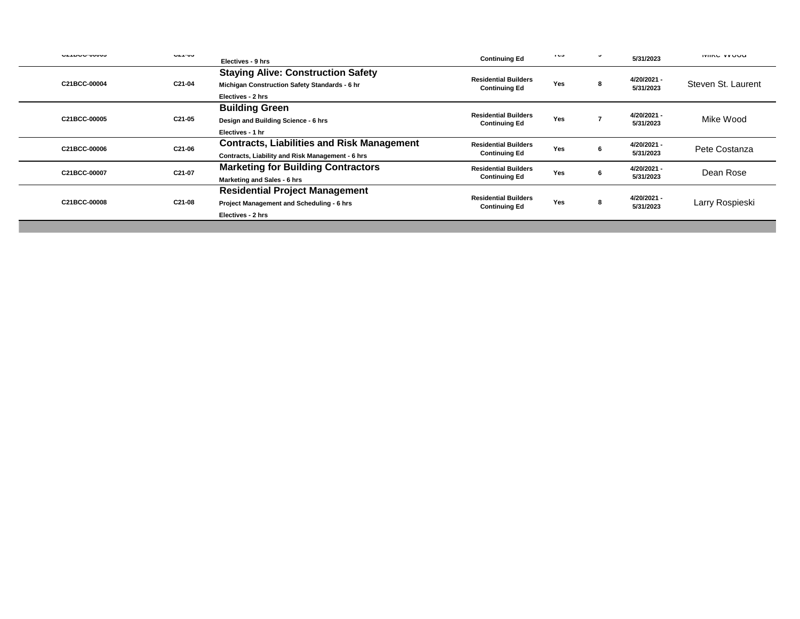| VETDUUTUUUU  | $U = 1 - UU$ | Electives - 9 hrs                                                                                               | <b>Continuing Ed</b>                                | 100 | $\cdot$ | 5/31/2023                | <b>IVIING VYUUU</b> |
|--------------|--------------|-----------------------------------------------------------------------------------------------------------------|-----------------------------------------------------|-----|---------|--------------------------|---------------------|
| C21BCC-00004 | C21-04       | <b>Staying Alive: Construction Safety</b><br>Michigan Construction Safety Standards - 6 hr<br>Electives - 2 hrs | <b>Residential Builders</b><br><b>Continuing Ed</b> | Yes |         | 4/20/2021 -<br>5/31/2023 | Steven St. Laurent  |
| C21BCC-00005 | C21-05       | <b>Building Green</b><br>Design and Building Science - 6 hrs<br>Electives - 1 hr                                | <b>Residential Builders</b><br><b>Continuing Ed</b> | Yes |         | 4/20/2021 -<br>5/31/2023 | Mike Wood           |
| C21BCC-00006 | C21-06       | <b>Contracts, Liabilities and Risk Management</b><br>Contracts, Liability and Risk Management - 6 hrs           | <b>Residential Builders</b><br><b>Continuing Ed</b> | Yes |         | 4/20/2021 -<br>5/31/2023 | Pete Costanza       |
| C21BCC-00007 | C21-07       | <b>Marketing for Building Contractors</b><br>Marketing and Sales - 6 hrs                                        | <b>Residential Builders</b><br><b>Continuing Ed</b> | Yes |         | 4/20/2021 -<br>5/31/2023 | Dean Rose           |
| C21BCC-00008 | C21-08       | <b>Residential Project Management</b><br>Project Management and Scheduling - 6 hrs<br>Electives - 2 hrs         | <b>Residential Builders</b><br><b>Continuing Ed</b> | Yes | 8       | 4/20/2021 -<br>5/31/2023 | Larry Rospieski     |

in 1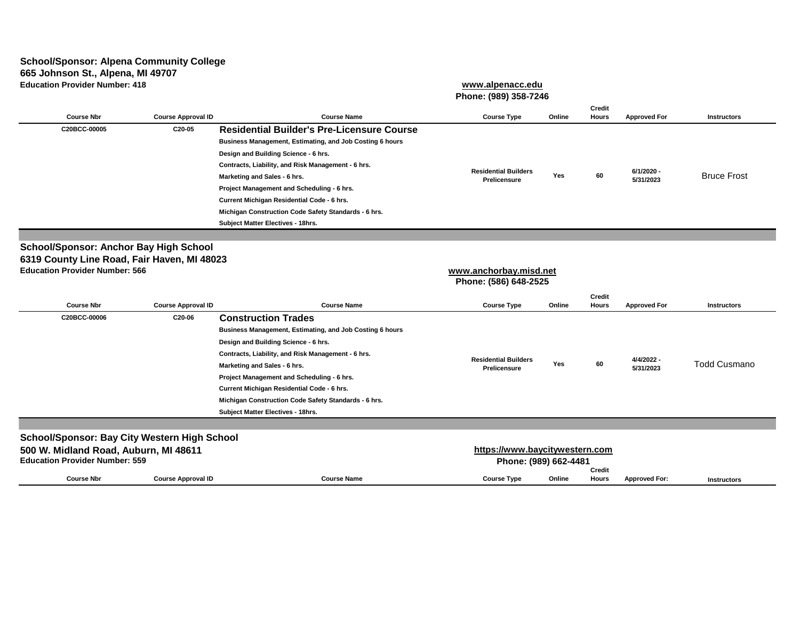#### **School/Sponsor: Alpena Community College 665 Johnson St., Alpena, MI 49707 Education Provider Number: 418**

|                                                          | www.alpenacc.edu<br>Phone: (989) 358-7246 |        |                               |                     |                    |
|----------------------------------------------------------|-------------------------------------------|--------|-------------------------------|---------------------|--------------------|
| <b>Course Name</b>                                       | <b>Course Type</b>                        | Online | <b>Credit</b><br><b>Hours</b> | <b>Approved For</b> | <b>Instructors</b> |
| <b>Residential Builder's Pre-Licensure Course</b>        |                                           |        |                               |                     |                    |
| Business Management, Estimating, and Job Costing 6 hours |                                           |        |                               |                     |                    |

**Course Nbr Course Approval II C20BCC-00005 C20-05 Residential Builder's Pre-Licensure Course Business Management, Estimating, and Job Costing 6 hours Design and Building Science - 6 hrs. Contracts, Liability, and Risk Management - 6 hrs. Marketing and Sales - 6 hrs. 5/31/2023 <sup>60</sup>** Bruce Frost **Residential Builders Prelicensure Yes**

**Project Management and Scheduling - 6 hrs.** 

**Current Michigan Residential Code - 6 hrs. Michigan Construction Code Safety Standards - 6 hrs. Subject Matter Electives - 18hrs. School/Sponsor: Anchor Bay High School**

# **6319 County Line Road, Fair Haven, MI 48023 Education Provider Number: 566**

# **[w](http://www.anchorbay.misd.net/)ww.anchorbay.misd.net**

**Phone: (586) 648-2525**

**6/1/2020 -** 

| <b>Course Nbr</b>                                   | <b>Course Approval ID</b> | <b>Course Name</b>                                       | <b>Course Type</b>             | Online | <b>Credit</b><br><b>Hours</b> | <b>Approved For</b>     | <b>Instructors</b> |
|-----------------------------------------------------|---------------------------|----------------------------------------------------------|--------------------------------|--------|-------------------------------|-------------------------|--------------------|
| C20BCC-00006                                        | C20-06                    | <b>Construction Trades</b>                               |                                |        |                               |                         |                    |
|                                                     |                           |                                                          |                                |        |                               |                         |                    |
|                                                     |                           | Business Management, Estimating, and Job Costing 6 hours |                                |        |                               |                         |                    |
|                                                     |                           | Design and Building Science - 6 hrs.                     |                                |        |                               |                         |                    |
|                                                     |                           | Contracts, Liability, and Risk Management - 6 hrs.       | <b>Residential Builders</b>    |        |                               |                         |                    |
|                                                     |                           | Marketing and Sales - 6 hrs.                             | <b>Prelicensure</b>            | Yes    | 60                            | 4/4/2022 -<br>5/31/2023 | Todd Cusmano       |
|                                                     |                           | Project Management and Scheduling - 6 hrs.               |                                |        |                               |                         |                    |
|                                                     |                           | Current Michigan Residential Code - 6 hrs.               |                                |        |                               |                         |                    |
|                                                     |                           | Michigan Construction Code Safety Standards - 6 hrs.     |                                |        |                               |                         |                    |
|                                                     |                           | <b>Subject Matter Electives - 18hrs.</b>                 |                                |        |                               |                         |                    |
|                                                     |                           |                                                          |                                |        |                               |                         |                    |
| <b>School/Sponsor: Bay City Western High School</b> |                           |                                                          |                                |        |                               |                         |                    |
| 500 W. Midland Road, Auburn, MI 48611               |                           |                                                          | https://www.baycitywestern.com |        |                               |                         |                    |
| <b>Education Provider Number: 559</b>               |                           |                                                          |                                |        |                               |                         |                    |
|                                                     |                           |                                                          | Phone: (989) 662-4481          |        |                               |                         |                    |
| <b>Course Nbr</b>                                   | <b>Course Approval ID</b> | <b>Course Name</b>                                       | <b>Course Type</b>             | Online | <b>Credit</b><br><b>Hours</b> | <b>Approved For:</b>    | <b>Instructors</b> |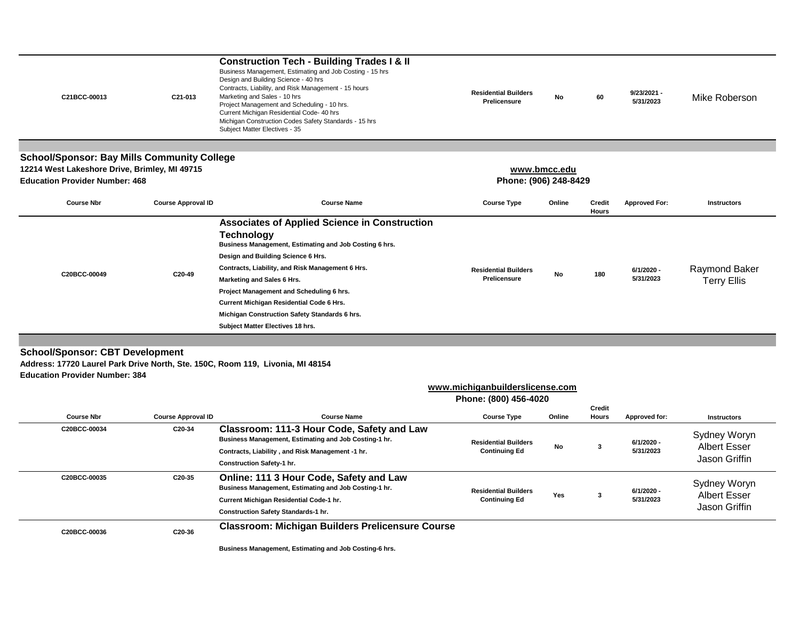| C21BCC-00013                                                                                                                                                      | C21-013                   | <b>Construction Tech - Building Trades I &amp; II</b><br>Business Management, Estimating and Job Costing - 15 hrs<br>Design and Building Science - 40 hrs<br>Contracts, Liability, and Risk Management - 15 hours<br>Marketing and Sales - 10 hrs<br>Project Management and Scheduling - 10 hrs.<br>Current Michigan Residential Code- 40 hrs<br>Michigan Construction Codes Safety Standards - 15 hrs<br>Subject Matter Electives - 35 | <b>Residential Builders</b><br><b>Prelicensure</b>       | <b>No</b>    | 60                     | 9/23/2021 -<br>5/31/2023 | Mike Roberson                                        |
|-------------------------------------------------------------------------------------------------------------------------------------------------------------------|---------------------------|-----------------------------------------------------------------------------------------------------------------------------------------------------------------------------------------------------------------------------------------------------------------------------------------------------------------------------------------------------------------------------------------------------------------------------------------|----------------------------------------------------------|--------------|------------------------|--------------------------|------------------------------------------------------|
| <b>School/Sponsor: Bay Mills Community College</b>                                                                                                                |                           |                                                                                                                                                                                                                                                                                                                                                                                                                                         |                                                          |              |                        |                          |                                                      |
| 12214 West Lakeshore Drive, Brimley, MI 49715                                                                                                                     |                           |                                                                                                                                                                                                                                                                                                                                                                                                                                         |                                                          | www.bmcc.edu |                        |                          |                                                      |
| <b>Education Provider Number: 468</b>                                                                                                                             |                           |                                                                                                                                                                                                                                                                                                                                                                                                                                         | Phone: (906) 248-8429                                    |              |                        |                          |                                                      |
| <b>Course Nbr</b>                                                                                                                                                 | <b>Course Approval ID</b> | <b>Course Name</b>                                                                                                                                                                                                                                                                                                                                                                                                                      | <b>Course Type</b>                                       | Online       | Credit<br>Hours        | <b>Approved For:</b>     | <b>Instructors</b>                                   |
| C20BCC-00049                                                                                                                                                      | C20-49                    | <b>Associates of Applied Science in Construction</b><br><b>Technology</b><br>Business Management, Estimating and Job Costing 6 hrs.<br>Design and Building Science 6 Hrs.<br>Contracts, Liability, and Risk Management 6 Hrs.<br>Marketing and Sales 6 Hrs.<br>Project Management and Scheduling 6 hrs.<br><b>Current Michigan Residential Code 6 Hrs.</b><br>Michigan Construction Safety Standards 6 hrs.                             | <b>Residential Builders</b><br><b>Prelicensure</b>       | No           | 180                    | 6/1/2020 -<br>5/31/2023  | <b>Raymond Baker</b><br><b>Terry Ellis</b>           |
|                                                                                                                                                                   |                           | Subject Matter Electives 18 hrs.                                                                                                                                                                                                                                                                                                                                                                                                        |                                                          |              |                        |                          |                                                      |
| <b>School/Sponsor: CBT Development</b><br>Address: 17720 Laurel Park Drive North, Ste. 150C, Room 119, Livonia, MI 48154<br><b>Education Provider Number: 384</b> |                           |                                                                                                                                                                                                                                                                                                                                                                                                                                         |                                                          |              |                        |                          |                                                      |
|                                                                                                                                                                   |                           |                                                                                                                                                                                                                                                                                                                                                                                                                                         | www.michiganbuilderslicense.com<br>Phone: (800) 456-4020 |              |                        |                          |                                                      |
| <b>Course Nbr</b>                                                                                                                                                 | <b>Course Approval ID</b> | <b>Course Name</b>                                                                                                                                                                                                                                                                                                                                                                                                                      | <b>Course Type</b>                                       | Online       | <b>Credit</b><br>Hours | Approved for:            | <b>Instructors</b>                                   |
| C20BCC-00034                                                                                                                                                      | C20-34                    | Classroom: 111-3 Hour Code, Safety and Law<br>Business Management, Estimating and Job Costing-1 hr.<br>Contracts, Liability, and Risk Management -1 hr.<br><b>Construction Safety-1 hr.</b>                                                                                                                                                                                                                                             | <b>Residential Builders</b><br><b>Continuing Ed</b>      | ${\sf No}$   | 3                      | 6/1/2020 -<br>5/31/2023  | Sydney Woryn<br><b>Albert Esser</b><br>Jason Griffin |
| C20BCC-00035                                                                                                                                                      | C20-35                    | Online: 111 3 Hour Code, Safety and Law<br>Business Management, Estimating and Job Costing-1 hr.<br>Current Michigan Residential Code-1 hr.<br><b>Construction Safety Standards-1 hr.</b>                                                                                                                                                                                                                                               | <b>Residential Builders</b><br><b>Continuing Ed</b>      | Yes          | 3                      | 6/1/2020 -<br>5/31/2023  | Sydney Woryn<br><b>Albert Esser</b><br>Jason Griffin |
| C20BCC-00036                                                                                                                                                      | C20-36                    | <b>Classroom: Michigan Builders Prelicensure Course</b>                                                                                                                                                                                                                                                                                                                                                                                 |                                                          |              |                        |                          |                                                      |

**Business Management, Estimating and Job Costing-6 hrs.**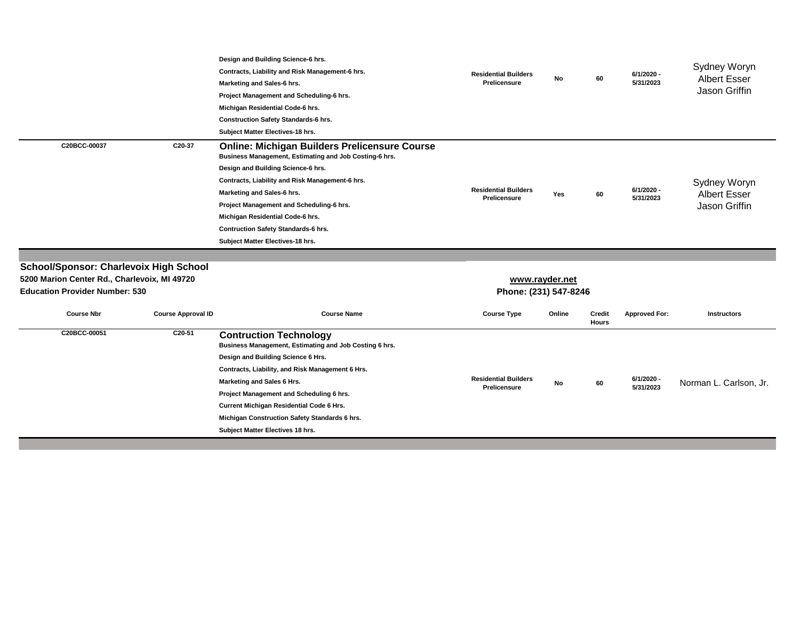|                                                                                                                                        |                           | Design and Building Science-6 hrs.<br>Contracts, Liability and Risk Management-6 hrs.<br>Marketing and Sales-6 hrs.<br>Project Management and Scheduling-6 hrs.<br>Michigan Residential Code-6 hrs.<br><b>Construction Safety Standards-6 hrs.</b><br>Subject Matter Electives-18 hrs.                                                                                                                  | <b>Residential Builders</b><br><b>Prelicensure</b> | No             | 60                            | $6/1/2020 -$<br>5/31/2023 | <b>Sydney Woryn</b><br><b>Albert Esser</b><br><b>Jason Griffin</b> |
|----------------------------------------------------------------------------------------------------------------------------------------|---------------------------|---------------------------------------------------------------------------------------------------------------------------------------------------------------------------------------------------------------------------------------------------------------------------------------------------------------------------------------------------------------------------------------------------------|----------------------------------------------------|----------------|-------------------------------|---------------------------|--------------------------------------------------------------------|
| C20BCC-00037                                                                                                                           | C20-37                    | <b>Online: Michigan Builders Prelicensure Course</b><br>Business Management, Estimating and Job Costing-6 hrs.<br>Design and Building Science-6 hrs.<br>Contracts, Liability and Risk Management-6 hrs.<br>Marketing and Sales-6 hrs.<br>Project Management and Scheduling-6 hrs.<br>Michigan Residential Code-6 hrs.<br><b>Contruction Safety Standards-6 hrs.</b><br>Subject Matter Electives-18 hrs. | <b>Residential Builders</b><br><b>Prelicensure</b> | Yes            | 60                            | 6/1/2020 -<br>5/31/2023   | <b>Sydney Woryn</b><br><b>Albert Esser</b><br>Jason Griffin        |
|                                                                                                                                        |                           |                                                                                                                                                                                                                                                                                                                                                                                                         |                                                    |                |                               |                           |                                                                    |
| <b>School/Sponsor: Charlevoix High School</b><br>5200 Marion Center Rd., Charlevoix, MI 49720<br><b>Education Provider Number: 530</b> |                           |                                                                                                                                                                                                                                                                                                                                                                                                         | Phone: (231) 547-8246                              | www.rayder.net |                               |                           |                                                                    |
| <b>Course Nbr</b>                                                                                                                      | <b>Course Approval ID</b> | <b>Course Name</b>                                                                                                                                                                                                                                                                                                                                                                                      | <b>Course Type</b>                                 | Online         | <b>Credit</b><br><b>Hours</b> | <b>Approved For:</b>      | <b>Instructors</b>                                                 |
| C20BCC-00051                                                                                                                           | C20-51                    | <b>Contruction Technology</b><br>Business Management, Estimating and Job Costing 6 hrs.<br>Design and Building Science 6 Hrs.<br>Contracts, Liability, and Risk Management 6 Hrs.<br>Marketing and Sales 6 Hrs.<br>Project Management and Scheduling 6 hrs.                                                                                                                                             | <b>Residential Builders</b><br>Prelicensure        | No             | 60                            | 6/1/2020 -<br>5/31/2023   | Norman L. Carlson, Jr.                                             |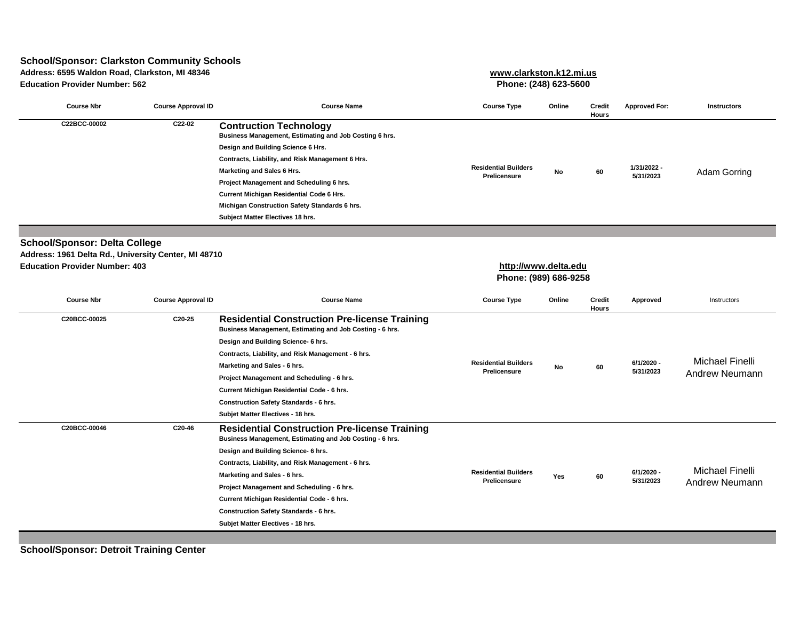# **School/Sponsor: Clarkston Community Schools**

**Address: 6595 Waldon Road, Clarkston, MI 48346 [www.clarks](http://www.clarkston.k12.mi.us/)ton.k12.mi.us**

**Education Provider Number: 562 Phone: (248) 623-5600**

| <b>Course Nbr</b>                                                                                                                     | <b>Course Approval ID</b> | <b>Course Name</b>                                                                                                                                                                                                                                                                                                                                                                                                              | <b>Course Type</b>                                 | Online | <b>Credit</b><br><b>Hours</b> | <b>Approved For:</b>     | <b>Instructors</b>                       |
|---------------------------------------------------------------------------------------------------------------------------------------|---------------------------|---------------------------------------------------------------------------------------------------------------------------------------------------------------------------------------------------------------------------------------------------------------------------------------------------------------------------------------------------------------------------------------------------------------------------------|----------------------------------------------------|--------|-------------------------------|--------------------------|------------------------------------------|
| C22BCC-00002                                                                                                                          | C22-02                    | <b>Contruction Technology</b><br>Business Management, Estimating and Job Costing 6 hrs.<br>Design and Building Science 6 Hrs.<br>Contracts, Liability, and Risk Management 6 Hrs.<br><b>Marketing and Sales 6 Hrs.</b><br>Project Management and Scheduling 6 hrs.<br><b>Current Michigan Residential Code 6 Hrs.</b><br>Michigan Construction Safety Standards 6 hrs.<br>Subject Matter Electives 18 hrs.                      | <b>Residential Builders</b><br><b>Prelicensure</b> | No     | 60                            | 1/31/2022 -<br>5/31/2023 | <b>Adam Gorring</b>                      |
|                                                                                                                                       |                           |                                                                                                                                                                                                                                                                                                                                                                                                                                 |                                                    |        |                               |                          |                                          |
| <b>School/Sponsor: Delta College</b><br>Address: 1961 Delta Rd., University Center, MI 48710<br><b>Education Provider Number: 403</b> |                           |                                                                                                                                                                                                                                                                                                                                                                                                                                 | http://www.delta.edu<br>Phone: (989) 686-9258      |        |                               |                          |                                          |
| <b>Course Nbr</b>                                                                                                                     | <b>Course Approval ID</b> | <b>Course Name</b>                                                                                                                                                                                                                                                                                                                                                                                                              | <b>Course Type</b>                                 | Online | <b>Credit</b><br><b>Hours</b> | Approved                 | Instructors                              |
| C20BCC-00025                                                                                                                          | C20-25                    | <b>Residential Construction Pre-license Training</b><br>Business Management, Estimating and Job Costing - 6 hrs.<br>Design and Building Science- 6 hrs.<br>Contracts, Liability, and Risk Management - 6 hrs.<br>Marketing and Sales - 6 hrs.<br>Project Management and Scheduling - 6 hrs.<br>Current Michigan Residential Code - 6 hrs.<br><b>Construction Safety Standards - 6 hrs.</b><br>Subjet Matter Electives - 18 hrs. | <b>Residential Builders</b><br><b>Prelicensure</b> | No     | 60                            | 6/1/2020 -<br>5/31/2023  | Michael Finelli<br><b>Andrew Neumann</b> |
| C20BCC-00046                                                                                                                          | C20-46                    | <b>Residential Construction Pre-license Training</b><br>Business Management, Estimating and Job Costing - 6 hrs.<br>Design and Building Science- 6 hrs.<br>Contracts, Liability, and Risk Management - 6 hrs.<br>Marketing and Sales - 6 hrs.<br>Project Management and Scheduling - 6 hrs.<br>Current Michigan Residential Code - 6 hrs.<br><b>Construction Safety Standards - 6 hrs.</b><br>Subjet Matter Electives - 18 hrs. | <b>Residential Builders</b><br>Prelicensure        | Yes    | 60                            | 6/1/2020 -<br>5/31/2023  | Michael Finelli<br><b>Andrew Neumann</b> |

**School/Sponsor: Detroit Training Center**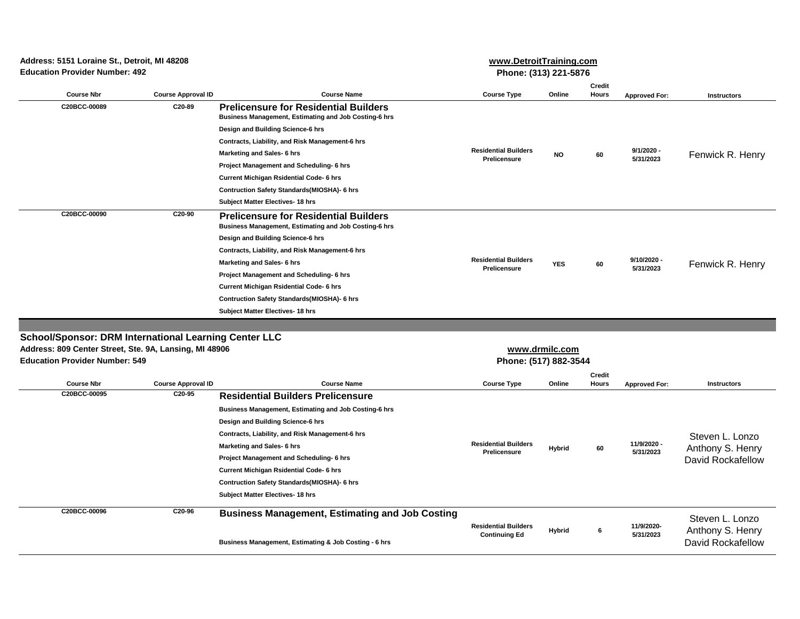**Education Provider Number: 492 Address: 5151 Loraine St., Detroit, MI 48208** **[www.Detroi](http://www.detroittraining.com/)tTraining.com Phone: (313) 221-5876**

**[www.dr](http://www.drmilc.com/)milc.com**

| <b>Course Nbr</b> | <b>Course Approval ID</b> | <b>Course Name</b>                                                                                           | <b>Course Type</b>                                 | Online     | <b>Credit</b><br><b>Hours</b> | <b>Approved For:</b>      | <b>Instructors</b> |
|-------------------|---------------------------|--------------------------------------------------------------------------------------------------------------|----------------------------------------------------|------------|-------------------------------|---------------------------|--------------------|
| C20BCC-00089      | C20-89                    | <b>Prelicensure for Residential Builders</b><br><b>Business Management, Estimating and Job Costing-6 hrs</b> |                                                    |            |                               |                           | Fenwick R. Henry   |
|                   |                           | Design and Building Science-6 hrs                                                                            |                                                    |            |                               | $9/1/2020 -$<br>5/31/2023 |                    |
|                   |                           | Contracts, Liability, and Risk Management-6 hrs                                                              |                                                    |            |                               |                           |                    |
|                   |                           | Marketing and Sales- 6 hrs                                                                                   | <b>Residential Builders</b><br><b>Prelicensure</b> | <b>NO</b>  | 60                            |                           |                    |
|                   |                           | Project Management and Scheduling- 6 hrs                                                                     |                                                    |            |                               |                           |                    |
|                   |                           | <b>Current Michigan Rsidential Code- 6 hrs</b>                                                               |                                                    |            |                               |                           |                    |
|                   |                           | Contruction Safety Standards(MIOSHA)- 6 hrs                                                                  |                                                    |            |                               |                           |                    |
|                   |                           | <b>Subject Matter Electives- 18 hrs</b>                                                                      |                                                    |            |                               |                           |                    |
| C20BCC-00090      | C20-90                    | <b>Prelicensure for Residential Builders</b><br><b>Business Management, Estimating and Job Costing-6 hrs</b> |                                                    |            |                               |                           |                    |
|                   |                           | Design and Building Science-6 hrs                                                                            |                                                    |            |                               |                           |                    |
|                   |                           | Contracts, Liability, and Risk Management-6 hrs                                                              |                                                    |            |                               |                           |                    |
|                   |                           | <b>Marketing and Sales- 6 hrs</b>                                                                            | <b>Residential Builders</b><br><b>Prelicensure</b> | <b>YES</b> | 60                            | 9/10/2020 -<br>5/31/2023  | Fenwick R. Henry   |
|                   |                           | Project Management and Scheduling- 6 hrs                                                                     |                                                    |            |                               |                           |                    |
|                   |                           | <b>Current Michigan Rsidential Code- 6 hrs</b>                                                               |                                                    |            |                               |                           |                    |
|                   |                           | <b>Contruction Safety Standards (MIOSHA)- 6 hrs</b>                                                          |                                                    |            |                               |                           |                    |
|                   |                           | <b>Subject Matter Electives- 18 hrs</b>                                                                      |                                                    |            |                               |                           |                    |
|                   |                           |                                                                                                              |                                                    |            |                               |                           |                    |

#### **School/Sponsor: DRM International Learning Center LLC**

**Address: 809 Center Street, Ste. 9A, Lansing, MI 48906**

| <b>Education Provider Number: 549</b> |                           | Phone: (517) 882-3544                                        |                                                       |               |                        |                          |                                              |  |
|---------------------------------------|---------------------------|--------------------------------------------------------------|-------------------------------------------------------|---------------|------------------------|--------------------------|----------------------------------------------|--|
| <b>Course Nbr</b>                     | <b>Course Approval ID</b> | <b>Course Name</b>                                           | <b>Course Type</b>                                    | Online        | Credit<br><b>Hours</b> | <b>Approved For:</b>     | <b>Instructors</b>                           |  |
| C20BCC-00095                          | C20-95                    | <b>Residential Builders Prelicensure</b>                     |                                                       |               |                        |                          |                                              |  |
|                                       |                           | <b>Business Management, Estimating and Job Costing-6 hrs</b> |                                                       |               |                        |                          |                                              |  |
|                                       |                           | Design and Building Science-6 hrs                            |                                                       |               |                        |                          |                                              |  |
|                                       |                           | Contracts, Liability, and Risk Management-6 hrs              | <b>Residential Builders</b><br>Hybrid<br>Prelicensure |               |                        |                          | Steven L. Lonzo                              |  |
|                                       |                           | Marketing and Sales- 6 hrs                                   |                                                       |               | 60                     | 11/9/2020 -<br>5/31/2023 | Anthony S. Henry                             |  |
|                                       |                           | Project Management and Scheduling- 6 hrs                     |                                                       |               |                        |                          | David Rockafellow                            |  |
|                                       |                           | <b>Current Michigan Rsidential Code- 6 hrs</b>               |                                                       |               |                        |                          |                                              |  |
|                                       |                           | <b>Contruction Safety Standards (MIOSHA)- 6 hrs</b>          |                                                       |               |                        |                          |                                              |  |
|                                       |                           | <b>Subject Matter Electives- 18 hrs</b>                      |                                                       |               |                        |                          |                                              |  |
| C20BCC-00096                          | C20-96                    | <b>Business Management, Estimating and Job Costing</b>       |                                                       |               |                        |                          | Steven L. Lonzo                              |  |
|                                       |                           | Business Management, Estimating & Job Costing - 6 hrs        | <b>Residential Builders</b><br><b>Continuing Ed</b>   | <b>Hybrid</b> | 6                      | 11/9/2020-<br>5/31/2023  | Anthony S. Henry<br><b>David Rockafellow</b> |  |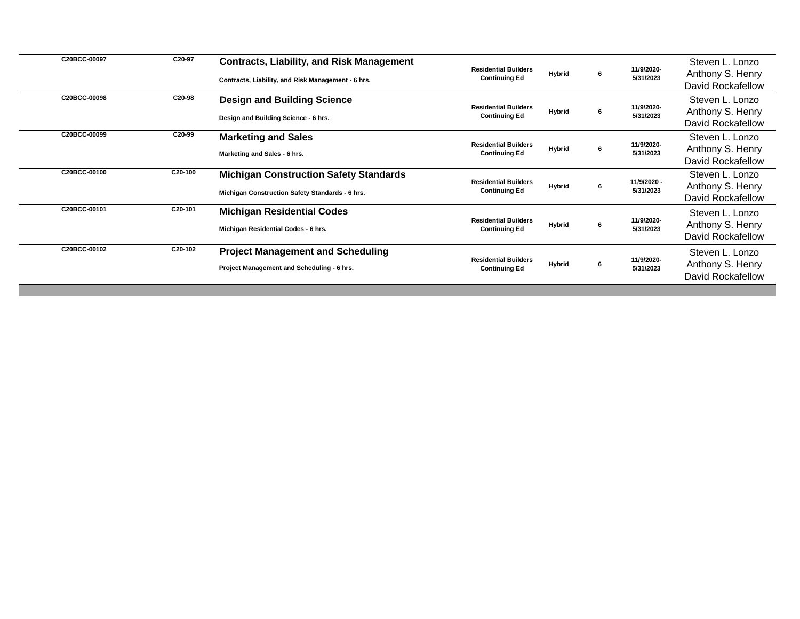| C20BCC-00097 | C20-97               | <b>Contracts, Liability, and Risk Management</b><br>Contracts, Liability, and Risk Management - 6 hrs. | <b>Residential Builders</b><br><b>Continuing Ed</b> | <b>Hybrid</b> | 6 | 11/9/2020-<br>5/31/2023  | Steven L. Lonzo<br>Anthony S. Henry<br>David Rockafellow        |
|--------------|----------------------|--------------------------------------------------------------------------------------------------------|-----------------------------------------------------|---------------|---|--------------------------|-----------------------------------------------------------------|
| C20BCC-00098 | C20-98               | <b>Design and Building Science</b><br>Design and Building Science - 6 hrs.                             | <b>Residential Builders</b><br><b>Continuing Ed</b> | <b>Hybrid</b> | 6 | 11/9/2020-<br>5/31/2023  | Steven L. Lonzo<br>Anthony S. Henry<br>David Rockafellow        |
| C20BCC-00099 | C20-99               | <b>Marketing and Sales</b><br>Marketing and Sales - 6 hrs.                                             | <b>Residential Builders</b><br><b>Continuing Ed</b> | <b>Hybrid</b> | 6 | 11/9/2020-<br>5/31/2023  | Steven L. Lonzo<br>Anthony S. Henry<br>David Rockafellow        |
| C20BCC-00100 | C20-100              | <b>Michigan Construction Safety Standards</b><br>Michigan Construction Safety Standards - 6 hrs.       | <b>Residential Builders</b><br><b>Continuing Ed</b> | <b>Hybrid</b> | 6 | 11/9/2020 -<br>5/31/2023 | Steven L. Lonzo<br>Anthony S. Henry<br><b>David Rockafellow</b> |
| C20BCC-00101 | C20-101              | <b>Michigan Residential Codes</b><br>Michigan Residential Codes - 6 hrs.                               | <b>Residential Builders</b><br><b>Continuing Ed</b> | <b>Hybrid</b> | 6 | 11/9/2020-<br>5/31/2023  | Steven L. Lonzo<br>Anthony S. Henry<br><b>David Rockafellow</b> |
| C20BCC-00102 | C <sub>20</sub> -102 | <b>Project Management and Scheduling</b><br>Project Management and Scheduling - 6 hrs.                 | <b>Residential Builders</b><br><b>Continuing Ed</b> | <b>Hybrid</b> | 6 | 11/9/2020-<br>5/31/2023  | Steven L. Lonzo<br>Anthony S. Henry<br><b>David Rockafellow</b> |
|              |                      |                                                                                                        |                                                     |               |   |                          |                                                                 |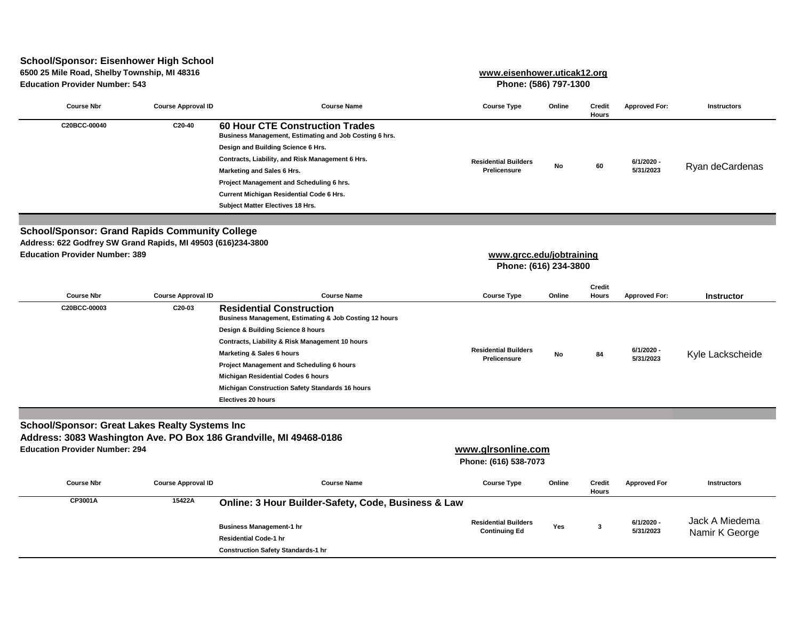# **School/Sponsor: Eisenhower High School**

**6500 25 Mile Road, Shelby Township, MI 48316**

**Education Provider Number: 543 Phone: (586) 797-1300**

**[www.eisenhow](http://www.eisenhower.uticak12.org/)er.uticak12.org**

| <b>Course Nbr</b> | <b>Course Approval ID</b> | <b>Course Name</b>                                                                               | <b>Course Type</b>          | Online | <b>Credit</b><br>Hours | <b>Approved For:</b> | <b>Instructors</b> |
|-------------------|---------------------------|--------------------------------------------------------------------------------------------------|-----------------------------|--------|------------------------|----------------------|--------------------|
| C20BCC-00040      | C20-40                    | <b>60 Hour CTE Construction Trades</b><br>Business Management, Estimating and Job Costing 6 hrs. |                             |        |                        |                      | Ryan deCardenas    |
|                   |                           | Design and Building Science 6 Hrs.                                                               |                             | No     | 60                     |                      |                    |
|                   |                           | Contracts, Liability, and Risk Management 6 Hrs.                                                 | <b>Residential Builders</b> |        |                        | 6/1/2020 -           |                    |
|                   |                           | <b>Marketing and Sales 6 Hrs.</b>                                                                | <b>Prelicensure</b>         |        |                        | 5/31/2023            |                    |
|                   |                           | Project Management and Scheduling 6 hrs.                                                         |                             |        |                        |                      |                    |
|                   |                           | <b>Current Michigan Residential Code 6 Hrs.</b>                                                  |                             |        |                        |                      |                    |
|                   |                           | <b>Subject Matter Electives 18 Hrs.</b>                                                          |                             |        |                        |                      |                    |

**Education Provider Number: 389 School/Sponsor: Grand Rapids Community College Address: 622 Godfrey SW Grand Rapids, MI 49503 (616)234-3800**

#### **Phone: (616) 234-3800 [www.grcc.e](http://www.grcc.edu/jobtraining)du/jobtraining**

| <b>Course Nbr</b> | <b>Course Approval ID</b> | <b>Course Name</b>                                                                        | <b>Course Type</b>                          | Online | <b>Credit</b><br><b>Hours</b> | <b>Approved For:</b>    | <b>Instructor</b> |
|-------------------|---------------------------|-------------------------------------------------------------------------------------------|---------------------------------------------|--------|-------------------------------|-------------------------|-------------------|
| C20BCC-00003      | C20-03                    | <b>Residential Construction</b><br>Business Management, Estimating & Job Costing 12 hours |                                             |        |                               |                         |                   |
|                   |                           | Design & Building Science 8 hours                                                         |                                             |        |                               |                         |                   |
|                   |                           | Contracts, Liability & Risk Management 10 hours                                           |                                             |        |                               |                         |                   |
|                   |                           | Marketing & Sales 6 hours                                                                 | <b>Residential Builders</b><br>Prelicensure | No     | 84                            | 6/1/2020 -<br>5/31/2023 | Kyle Lackscheide  |
|                   |                           | Project Management and Scheduling 6 hours                                                 |                                             |        |                               |                         |                   |
|                   |                           | <b>Michigan Residential Codes 6 hours</b>                                                 |                                             |        |                               |                         |                   |
|                   |                           | <b>Michigan Construction Safety Standards 16 hours</b>                                    |                                             |        |                               |                         |                   |
|                   |                           | <b>Electives 20 hours</b>                                                                 |                                             |        |                               |                         |                   |

## **School/Sponsor: Great Lakes Realty Systems Inc**

**Address: 3083 Washington Ave. PO Box 186 Grandville, MI 49468-0186** 

**Education Provider Number: 294**

# **www.glrsonline.com**

**Phone: (616) 538-7073**

| <b>Course Nbr</b> | <b>Course Approval ID</b> | <b>Course Name</b>                                                                                                                                                             | <b>Course Type</b>                                  | Online | <b>Credit</b><br>Hours | <b>Approved For</b>     | Instructors                      |
|-------------------|---------------------------|--------------------------------------------------------------------------------------------------------------------------------------------------------------------------------|-----------------------------------------------------|--------|------------------------|-------------------------|----------------------------------|
| CP3001A           | 15422A                    | <b>Online: 3 Hour Builder-Safety, Code, Business &amp; Law</b><br><b>Business Management-1 hr</b><br><b>Residential Code-1 hr</b><br><b>Construction Safety Standards-1 hr</b> | <b>Residential Builders</b><br><b>Continuing Ed</b> | Yes    |                        | 6/1/2020 -<br>5/31/2023 | Jack A Miedema<br>Namir K George |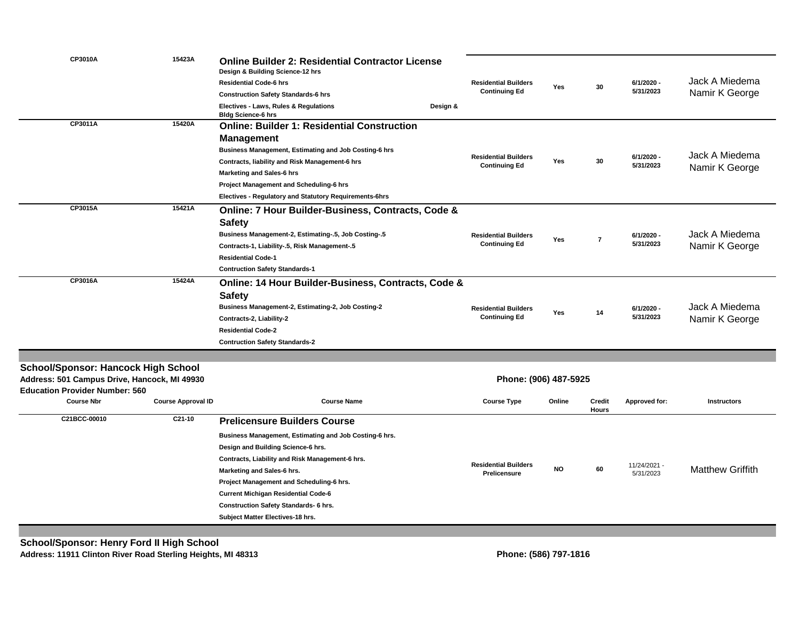| 6/1/2020 -<br><b>Residential Builders</b><br><b>Residential Code-6 hrs</b><br>30<br>Yes                                                                                                         | Jack A Miedema          |
|-------------------------------------------------------------------------------------------------------------------------------------------------------------------------------------------------|-------------------------|
| 5/31/2023<br><b>Continuing Ed</b><br><b>Construction Safety Standards-6 hrs</b>                                                                                                                 | Namir K George          |
| Electives - Laws, Rules & Regulations<br>Design &<br><b>Bldg Science-6 hrs</b>                                                                                                                  |                         |
| CP3011A<br>15420A<br><b>Online: Builder 1: Residential Construction</b>                                                                                                                         |                         |
| <b>Management</b>                                                                                                                                                                               |                         |
| <b>Business Management, Estimating and Job Costing-6 hrs</b>                                                                                                                                    | Jack A Miedema          |
| <b>Residential Builders</b><br>6/1/2020 -<br>30<br>Contracts, liability and Risk Management-6 hrs<br>Yes<br>5/31/2023<br><b>Continuing Ed</b>                                                   |                         |
| <b>Marketing and Sales-6 hrs</b>                                                                                                                                                                | Namir K George          |
| <b>Project Management and Scheduling-6 hrs</b>                                                                                                                                                  |                         |
| Electives - Regulatory and Statutory Requirements-6hrs                                                                                                                                          |                         |
| CP3015A<br>15421A<br>Online: 7 Hour Builder-Business, Contracts, Code &                                                                                                                         |                         |
| <b>Safety</b>                                                                                                                                                                                   |                         |
| <b>Business Management-2, Estimating-.5, Job Costing-.5</b><br>6/1/2020 -<br><b>Residential Builders</b>                                                                                        | Jack A Miedema          |
| $\overline{7}$<br>Yes<br>5/31/2023<br><b>Continuing Ed</b><br>Contracts-1, Liability-.5, Risk Management-.5                                                                                     | Namir K George          |
| <b>Residential Code-1</b>                                                                                                                                                                       |                         |
| <b>Contruction Safety Standards-1</b>                                                                                                                                                           |                         |
| CP3016A<br>15424A<br>Online: 14 Hour Builder-Business, Contracts, Code &                                                                                                                        |                         |
|                                                                                                                                                                                                 |                         |
| <b>Safety</b>                                                                                                                                                                                   | Jack A Miedema          |
| Business Management-2, Estimating-2, Job Costing-2<br><b>Residential Builders</b><br>6/1/2020 -<br>Yes<br>14<br>5/31/2023<br><b>Continuing Ed</b>                                               |                         |
| Contracts-2, Liability-2                                                                                                                                                                        | Namir K George          |
| <b>Residential Code-2</b>                                                                                                                                                                       |                         |
| <b>Contruction Safety Standards-2</b>                                                                                                                                                           |                         |
|                                                                                                                                                                                                 |                         |
| <b>School/Sponsor: Hancock High School</b>                                                                                                                                                      |                         |
| Address: 501 Campus Drive, Hancock, MI 49930<br>Phone: (906) 487-5925                                                                                                                           |                         |
| <b>Education Provider Number: 560</b><br><b>Course Nbr</b><br><b>Course Approval ID</b><br><b>Course Name</b><br><b>Course Type</b><br>Online<br><b>Credit</b><br>Approved for:<br><b>Hours</b> | <b>Instructors</b>      |
| C21BCC-00010<br>C21-10<br><b>Prelicensure Builders Course</b>                                                                                                                                   |                         |
| Business Management, Estimating and Job Costing-6 hrs.                                                                                                                                          |                         |
| Design and Building Science-6 hrs.                                                                                                                                                              |                         |
| Contracts, Liability and Risk Management-6 hrs.                                                                                                                                                 |                         |
| <b>Residential Builders</b><br>11/24/2021 -<br><b>NO</b><br>60<br>Marketing and Sales-6 hrs.                                                                                                    | <b>Matthew Griffith</b> |
| Prelicensure<br>5/31/2023<br>Project Management and Scheduling-6 hrs.                                                                                                                           |                         |
|                                                                                                                                                                                                 |                         |
| <b>Current Michigan Residential Code-6</b>                                                                                                                                                      |                         |
| <b>Construction Safety Standards- 6 hrs.</b>                                                                                                                                                    |                         |
| Subject Matter Electives-18 hrs.                                                                                                                                                                |                         |

**Address: 11911 Clinton River Road Sterling Heights, MI 48313**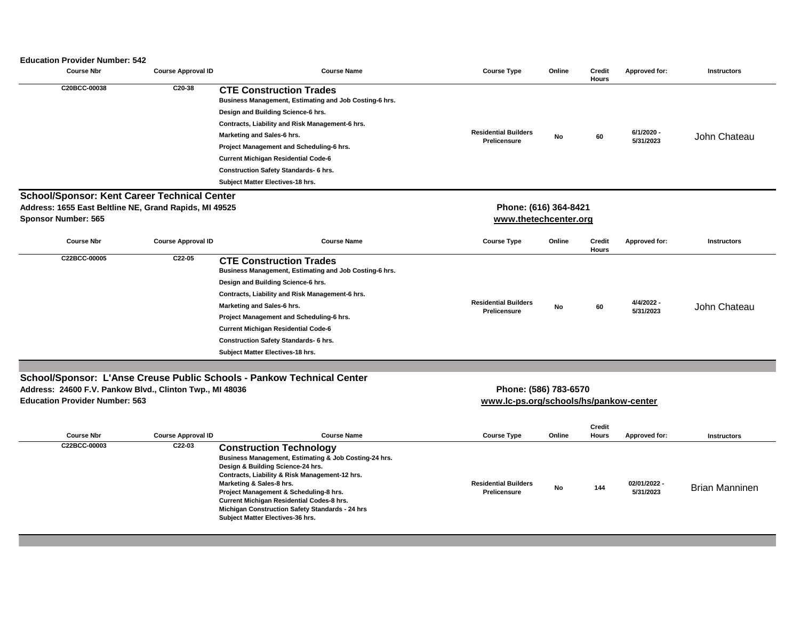#### **Education Provider Number: 542**

| <b>Course Nbr</b>                                                                                 | <b>Course Approval ID</b> | <b>Course Name</b>                                                                                                                                                                                                                                                                                                                                                                            | <b>Course Type</b>                                              | Online | <b>Credit</b><br><b>Hours</b> | Approved for:             | <b>Instructors</b>    |
|---------------------------------------------------------------------------------------------------|---------------------------|-----------------------------------------------------------------------------------------------------------------------------------------------------------------------------------------------------------------------------------------------------------------------------------------------------------------------------------------------------------------------------------------------|-----------------------------------------------------------------|--------|-------------------------------|---------------------------|-----------------------|
| C20BCC-00038                                                                                      | C20-38                    | <b>CTE Construction Trades</b><br>Business Management, Estimating and Job Costing-6 hrs.<br>Design and Building Science-6 hrs.<br>Contracts, Liability and Risk Management-6 hrs.<br>Marketing and Sales-6 hrs.<br>Project Management and Scheduling-6 hrs.<br><b>Current Michigan Residential Code-6</b><br><b>Construction Safety Standards- 6 hrs.</b><br>Subject Matter Electives-18 hrs. | <b>Residential Builders</b><br>Prelicensure                     | No     | 60                            | 6/1/2020 -<br>5/31/2023   | John Chateau          |
| <b>School/Sponsor: Kent Career Technical Center</b>                                               |                           |                                                                                                                                                                                                                                                                                                                                                                                               |                                                                 |        |                               |                           |                       |
| Address: 1655 East Beltline NE, Grand Rapids, MI 49525                                            |                           |                                                                                                                                                                                                                                                                                                                                                                                               | Phone: (616) 364-8421                                           |        |                               |                           |                       |
| <b>Sponsor Number: 565</b>                                                                        |                           |                                                                                                                                                                                                                                                                                                                                                                                               | www.thetechcenter.org                                           |        |                               |                           |                       |
| <b>Course Nbr</b>                                                                                 | <b>Course Approval ID</b> | <b>Course Name</b>                                                                                                                                                                                                                                                                                                                                                                            | <b>Course Type</b>                                              | Online | <b>Credit</b><br><b>Hours</b> | <b>Approved for:</b>      | <b>Instructors</b>    |
| C22BCC-00005                                                                                      | C22-05                    | <b>CTE Construction Trades</b><br>Business Management, Estimating and Job Costing-6 hrs.<br>Design and Building Science-6 hrs.<br>Contracts, Liability and Risk Management-6 hrs.<br>Marketing and Sales-6 hrs.<br>Project Management and Scheduling-6 hrs.<br><b>Current Michigan Residential Code-6</b><br><b>Construction Safety Standards- 6 hrs.</b><br>Subject Matter Electives-18 hrs. | <b>Residential Builders</b><br><b>Prelicensure</b>              | No     | 60                            | 4/4/2022 -<br>5/31/2023   | John Chateau          |
|                                                                                                   |                           |                                                                                                                                                                                                                                                                                                                                                                                               |                                                                 |        |                               |                           |                       |
| Address: 24600 F.V. Pankow Blvd., Clinton Twp., MI 48036<br><b>Education Provider Number: 563</b> |                           | School/Sponsor: L'Anse Creuse Public Schools - Pankow Technical Center                                                                                                                                                                                                                                                                                                                        | Phone: (586) 783-6570<br>www.lc-ps.org/schools/hs/pankow-center |        |                               |                           |                       |
| <b>Course Nbr</b>                                                                                 | <b>Course Approval ID</b> | <b>Course Name</b>                                                                                                                                                                                                                                                                                                                                                                            | <b>Course Type</b>                                              | Online | <b>Credit</b><br><b>Hours</b> | <b>Approved for:</b>      | <b>Instructors</b>    |
| C22BCC-00003                                                                                      | C22-03                    | <b>Construction Technology</b><br>Business Management, Estimating & Job Costing-24 hrs.<br>Design & Building Science-24 hrs.<br>Contracts, Liability & Risk Management-12 hrs.<br>Marketing & Sales-8 hrs.<br>Project Management & Scheduling-8 hrs.<br>Current Michigan Residential Codes-8 hrs.<br>Michigan Construction Safety Standards - 24 hrs<br>Subject Matter Electives-36 hrs.      | <b>Residential Builders</b><br><b>Prelicensure</b>              | No     | 144                           | 02/01/2022 -<br>5/31/2023 | <b>Brian Manninen</b> |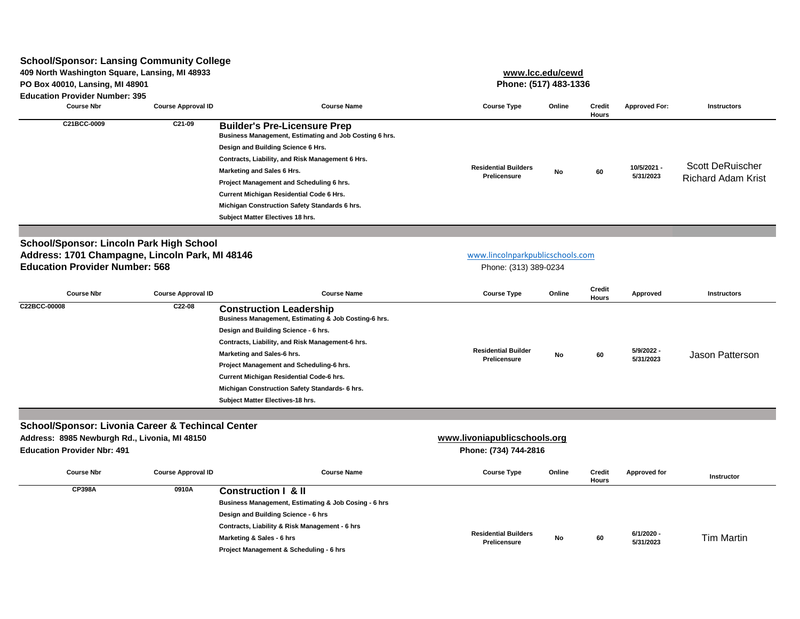| <b>School/Sponsor: Lansing Community College</b>                                                                                                    |                           |                                                                                                                                                                                                                                                                                                                                                                                                    |                                                       |        |                               |                          |                                                      |
|-----------------------------------------------------------------------------------------------------------------------------------------------------|---------------------------|----------------------------------------------------------------------------------------------------------------------------------------------------------------------------------------------------------------------------------------------------------------------------------------------------------------------------------------------------------------------------------------------------|-------------------------------------------------------|--------|-------------------------------|--------------------------|------------------------------------------------------|
| 409 North Washington Square, Lansing, MI 48933                                                                                                      |                           |                                                                                                                                                                                                                                                                                                                                                                                                    | www.lcc.edu/cewd                                      |        |                               |                          |                                                      |
| PO Box 40010, Lansing, MI 48901                                                                                                                     |                           |                                                                                                                                                                                                                                                                                                                                                                                                    | Phone: (517) 483-1336                                 |        |                               |                          |                                                      |
| <b>Education Provider Number: 395</b>                                                                                                               |                           |                                                                                                                                                                                                                                                                                                                                                                                                    |                                                       |        |                               |                          |                                                      |
| <b>Course Nbr</b>                                                                                                                                   | <b>Course Approval ID</b> | <b>Course Name</b>                                                                                                                                                                                                                                                                                                                                                                                 | <b>Course Type</b>                                    | Online | <b>Credit</b><br><b>Hours</b> | <b>Approved For:</b>     | <b>Instructors</b>                                   |
| C21BCC-0009                                                                                                                                         | C21-09                    | <b>Builder's Pre-Licensure Prep</b><br>Business Management, Estimating and Job Costing 6 hrs.<br>Design and Building Science 6 Hrs.<br>Contracts, Liability, and Risk Management 6 Hrs.<br>Marketing and Sales 6 Hrs.<br>Project Management and Scheduling 6 hrs.<br>Current Michigan Residential Code 6 Hrs.<br>Michigan Construction Safety Standards 6 hrs.<br>Subject Matter Electives 18 hrs. | <b>Residential Builders</b><br><b>Prelicensure</b>    | No     | 60                            | 10/5/2021 -<br>5/31/2023 | <b>Scott DeRuischer</b><br><b>Richard Adam Krist</b> |
|                                                                                                                                                     |                           |                                                                                                                                                                                                                                                                                                                                                                                                    |                                                       |        |                               |                          |                                                      |
| <b>School/Sponsor: Lincoln Park High School</b>                                                                                                     |                           |                                                                                                                                                                                                                                                                                                                                                                                                    |                                                       |        |                               |                          |                                                      |
| Address: 1701 Champagne, Lincoln Park, MI 48146                                                                                                     |                           |                                                                                                                                                                                                                                                                                                                                                                                                    | www.lincolnparkpublicschools.com                      |        |                               |                          |                                                      |
| <b>Education Provider Number: 568</b>                                                                                                               |                           |                                                                                                                                                                                                                                                                                                                                                                                                    | Phone: (313) 389-0234                                 |        |                               |                          |                                                      |
|                                                                                                                                                     |                           |                                                                                                                                                                                                                                                                                                                                                                                                    |                                                       |        | <b>Credit</b>                 |                          |                                                      |
| <b>Course Nbr</b>                                                                                                                                   | <b>Course Approval ID</b> | <b>Course Name</b>                                                                                                                                                                                                                                                                                                                                                                                 | <b>Course Type</b>                                    | Online | <b>Hours</b>                  | <b>Approved</b>          | Instructors                                          |
| C22BCC-00008                                                                                                                                        | C22-08                    | <b>Construction Leadership</b><br>Business Management, Estimating & Job Costing-6 hrs.<br>Design and Building Science - 6 hrs.<br>Contracts, Liability, and Risk Management-6 hrs.<br>Marketing and Sales-6 hrs.<br>Project Management and Scheduling-6 hrs.<br>Current Michigan Residential Code-6 hrs.<br>Michigan Construction Safety Standards- 6 hrs.<br>Subject Matter Electives-18 hrs.     | <b>Residential Builder</b><br><b>Prelicensure</b>     | No     | 60                            | 5/9/2022 -<br>5/31/2023  | <b>Jason Patterson</b>                               |
|                                                                                                                                                     |                           |                                                                                                                                                                                                                                                                                                                                                                                                    |                                                       |        |                               |                          |                                                      |
| <b>School/Sponsor: Livonia Career &amp; Techincal Center</b><br>Address: 8985 Newburgh Rd., Livonia, MI 48150<br><b>Education Provider Nbr: 491</b> |                           |                                                                                                                                                                                                                                                                                                                                                                                                    | www.livoniapublicschools.org<br>Phone: (734) 744-2816 |        |                               |                          |                                                      |
| <b>Course Nbr</b>                                                                                                                                   | <b>Course Approval ID</b> | <b>Course Name</b>                                                                                                                                                                                                                                                                                                                                                                                 | <b>Course Type</b>                                    | Online | <b>Credit</b><br>Hours        | Approved for             | <b>Instructor</b>                                    |
| <b>CP398A</b>                                                                                                                                       | 0910A                     | <b>Construction I &amp; II</b><br>Business Management, Estimating & Job Cosing - 6 hrs<br>Design and Building Science - 6 hrs<br>Contracts, Liability & Risk Management - 6 hrs<br>Marketing & Sales - 6 hrs<br>Project Management & Scheduling - 6 hrs                                                                                                                                            | <b>Residential Builders</b><br>Prelicensure           | No     | 60                            | 6/1/2020 -<br>5/31/2023  | <b>Tim Martin</b>                                    |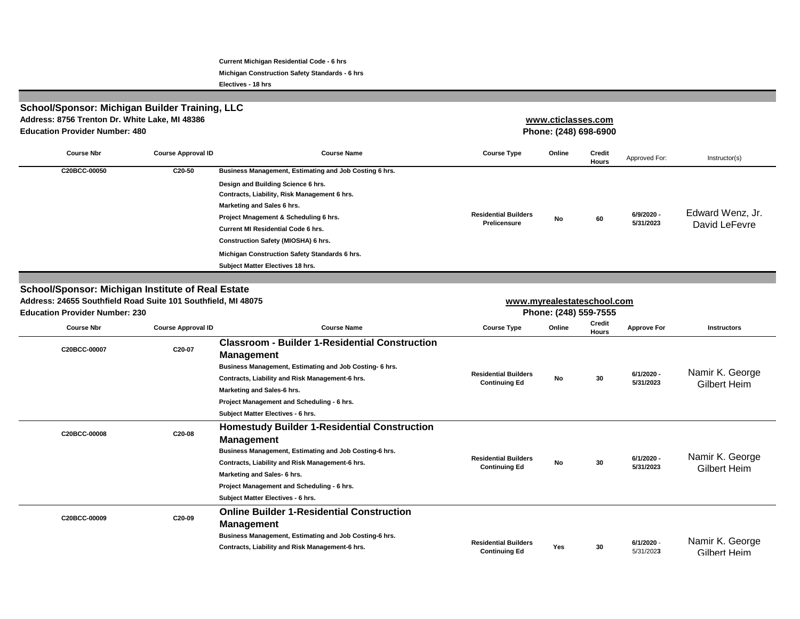**Current Michigan Residential Code - 6 hrs**

**Michigan Construction Safety Standards - 6 hrs**

**Electives - 18 hrs**

| <b>Education Provider Number: 480</b> | <b>School/Sponsor: Michigan Builder Training, LLC</b><br>Address: 8756 Trenton Dr. White Lake, MI 48386 |                                                                                                                                                                                                                                                                                                                                                                                              | www.cticlasses.com<br>Phone: (248) 698-6900        |        |                 |                         |                                   |
|---------------------------------------|---------------------------------------------------------------------------------------------------------|----------------------------------------------------------------------------------------------------------------------------------------------------------------------------------------------------------------------------------------------------------------------------------------------------------------------------------------------------------------------------------------------|----------------------------------------------------|--------|-----------------|-------------------------|-----------------------------------|
| <b>Course Nbr</b>                     | <b>Course Approval ID</b>                                                                               | <b>Course Name</b>                                                                                                                                                                                                                                                                                                                                                                           | <b>Course Type</b>                                 | Online | Credit<br>Hours | Approved For:           | Instructor(s)                     |
| C20BCC-00050                          | C20-50                                                                                                  | Business Management, Estimating and Job Costing 6 hrs.<br>Design and Building Science 6 hrs.<br>Contracts, Liability, Risk Management 6 hrs.<br>Marketing and Sales 6 hrs.<br>Project Mnagement & Scheduling 6 hrs.<br><b>Current MI Residential Code 6 hrs.</b><br>Construction Safety (MIOSHA) 6 hrs.<br>Michigan Construction Safety Standards 6 hrs.<br>Subject Matter Electives 18 hrs. | <b>Residential Builders</b><br><b>Prelicensure</b> | No     | 60              | 6/9/2020 -<br>5/31/2023 | Edward Wenz, Jr.<br>David LeFevre |

#### **School/Sponsor: Michigan Institute of Real Estate**

| <b>Education Provider Number: 230</b> | Address: 24655 Southfield Road Suite 101 Southfield, MI 48075 |                                                                                                                                                                                                                                                                                                           |                                                     | www.myrealestateschool.com<br>Phone: (248) 559-7555 |                               |                         |                                        |  |  |
|---------------------------------------|---------------------------------------------------------------|-----------------------------------------------------------------------------------------------------------------------------------------------------------------------------------------------------------------------------------------------------------------------------------------------------------|-----------------------------------------------------|-----------------------------------------------------|-------------------------------|-------------------------|----------------------------------------|--|--|
| <b>Course Nbr</b>                     | <b>Course Approval ID</b>                                     | <b>Course Name</b>                                                                                                                                                                                                                                                                                        | <b>Course Type</b>                                  | Online                                              | <b>Credit</b><br><b>Hours</b> | <b>Approve For</b>      | <b>Instructors</b>                     |  |  |
| C20BCC-00007                          | C20-07                                                        | <b>Classroom - Builder 1-Residential Construction</b><br><b>Management</b><br>Business Management, Estimating and Job Costing- 6 hrs.<br>Contracts, Liability and Risk Management-6 hrs.<br>Marketing and Sales-6 hrs.<br>Project Management and Scheduling - 6 hrs.<br>Subject Matter Electives - 6 hrs. | <b>Residential Builders</b><br><b>Continuing Ed</b> | No                                                  | 30                            | 6/1/2020 -<br>5/31/2023 | Namir K. George<br><b>Gilbert Heim</b> |  |  |
| C20BCC-00008                          | C20-08                                                        | <b>Homestudy Builder 1-Residential Construction</b><br><b>Management</b><br>Business Management, Estimating and Job Costing-6 hrs.<br>Contracts, Liability and Risk Management-6 hrs.<br>Marketing and Sales- 6 hrs.<br>Project Management and Scheduling - 6 hrs.<br>Subject Matter Electives - 6 hrs.   | <b>Residential Builders</b><br><b>Continuing Ed</b> | No                                                  | 30                            | 6/1/2020 -<br>5/31/2023 | Namir K. George<br><b>Gilbert Heim</b> |  |  |
| C20BCC-00009                          | C20-09                                                        | <b>Online Builder 1-Residential Construction</b><br><b>Management</b><br>Business Management, Estimating and Job Costing-6 hrs.<br>Contracts, Liability and Risk Management-6 hrs.                                                                                                                        | <b>Residential Builders</b><br><b>Continuing Ed</b> | Yes                                                 | 30                            | 6/1/2020 -<br>5/31/2023 | Namir K. George<br>Gilbert Heim        |  |  |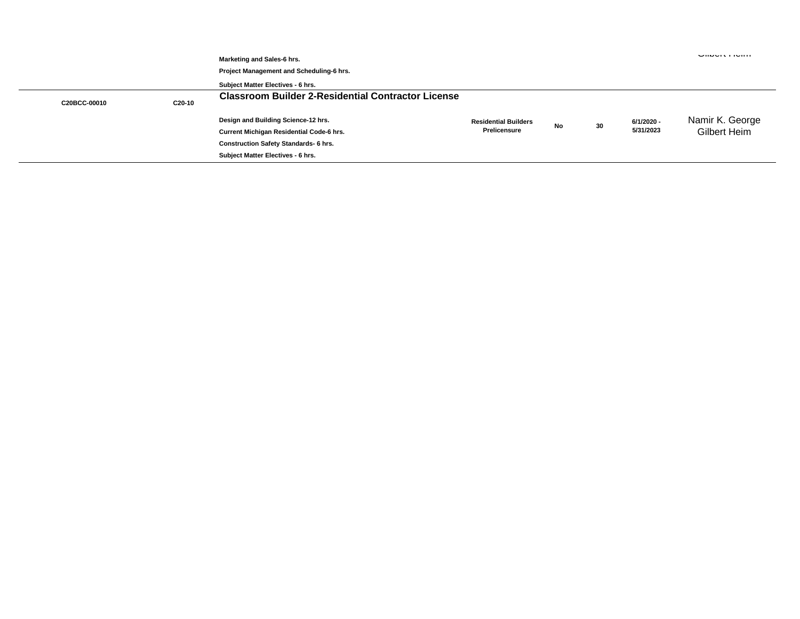|              |        | Marketing and Sales-6 hrs.<br>Project Management and Scheduling-6 hrs.<br>Subject Matter Electives - 6 hrs. |                             |    |    |            | <b>UNUVILLIUMI</b>  |
|--------------|--------|-------------------------------------------------------------------------------------------------------------|-----------------------------|----|----|------------|---------------------|
| C20BCC-00010 | C20-10 | <b>Classroom Builder 2-Residential Contractor License</b>                                                   |                             |    |    |            |                     |
|              |        | Design and Building Science-12 hrs.                                                                         | <b>Residential Builders</b> | No | 30 | 6/1/2020 - | Namir K. George     |
|              |        | <b>Current Michigan Residential Code-6 hrs.</b>                                                             | <b>Prelicensure</b>         |    |    | 5/31/2023  | <b>Gilbert Heim</b> |
|              |        | <b>Construction Safety Standards- 6 hrs.</b>                                                                |                             |    |    |            |                     |
|              |        | Subject Matter Electives - 6 hrs.                                                                           |                             |    |    |            |                     |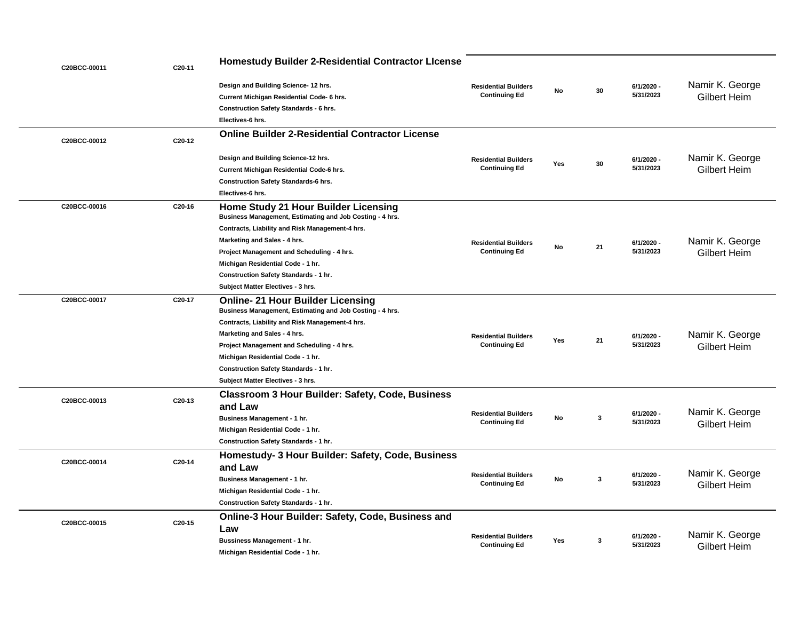| C20BCC-00011 | C20-11 | <b>Homestudy Builder 2-Residential Contractor License</b>                                                                                                                                  |                                                     |           |           |                         |                     |
|--------------|--------|--------------------------------------------------------------------------------------------------------------------------------------------------------------------------------------------|-----------------------------------------------------|-----------|-----------|-------------------------|---------------------|
|              |        | Design and Building Science- 12 hrs.                                                                                                                                                       | <b>Residential Builders</b>                         |           |           | 6/1/2020 -              | Namir K. George     |
|              |        | Current Michigan Residential Code- 6 hrs.                                                                                                                                                  | <b>Continuing Ed</b>                                | No        | 30        | 5/31/2023               | <b>Gilbert Heim</b> |
|              |        | <b>Construction Safety Standards - 6 hrs.</b>                                                                                                                                              |                                                     |           |           |                         |                     |
|              |        | Electives-6 hrs.                                                                                                                                                                           |                                                     |           |           |                         |                     |
| C20BCC-00012 | C20-12 | <b>Online Builder 2-Residential Contractor License</b>                                                                                                                                     |                                                     |           |           |                         |                     |
|              |        | Design and Building Science-12 hrs.                                                                                                                                                        | <b>Residential Builders</b>                         |           |           | 6/1/2020 -              | Namir K. George     |
|              |        | Current Michigan Residential Code-6 hrs.                                                                                                                                                   | <b>Continuing Ed</b>                                | Yes       | 30        | 5/31/2023               | <b>Gilbert Heim</b> |
|              |        | <b>Construction Safety Standards-6 hrs.</b>                                                                                                                                                |                                                     |           |           |                         |                     |
|              |        | Electives-6 hrs.                                                                                                                                                                           |                                                     |           |           |                         |                     |
| C20BCC-00016 | C20-16 | <b>Home Study 21 Hour Builder Licensing</b><br>Business Management, Estimating and Job Costing - 4 hrs.<br>Contracts, Liability and Risk Management-4 hrs.<br>Marketing and Sales - 4 hrs. | <b>Residential Builders</b>                         | No        | 21        | $6/1/2020 -$            | Namir K. George     |
|              |        | Project Management and Scheduling - 4 hrs.                                                                                                                                                 | <b>Continuing Ed</b>                                |           |           | 5/31/2023               | <b>Gilbert Heim</b> |
|              |        | Michigan Residential Code - 1 hr.                                                                                                                                                          |                                                     |           |           |                         |                     |
|              |        | Construction Safety Standards - 1 hr.                                                                                                                                                      |                                                     |           |           |                         |                     |
|              |        | Subject Matter Electives - 3 hrs.                                                                                                                                                          |                                                     |           |           |                         |                     |
| C20BCC-00017 | C20-17 | <b>Online-21 Hour Builder Licensing</b><br>Business Management, Estimating and Job Costing - 4 hrs.                                                                                        |                                                     |           |           |                         |                     |
|              |        | Contracts, Liability and Risk Management-4 hrs.                                                                                                                                            | <b>Residential Builders</b><br><b>Continuing Ed</b> |           |           |                         |                     |
|              |        | Marketing and Sales - 4 hrs.                                                                                                                                                               |                                                     | Yes       | 21        | 6/1/2020 -              | Namir K. George     |
|              |        | Project Management and Scheduling - 4 hrs.                                                                                                                                                 |                                                     |           |           | 5/31/2023               | <b>Gilbert Heim</b> |
|              |        | Michigan Residential Code - 1 hr.                                                                                                                                                          |                                                     |           |           |                         |                     |
|              |        | Construction Safety Standards - 1 hr.                                                                                                                                                      |                                                     |           |           |                         |                     |
|              |        | Subject Matter Electives - 3 hrs.                                                                                                                                                          |                                                     |           |           |                         |                     |
| C20BCC-00013 | C20-13 | <b>Classroom 3 Hour Builder: Safety, Code, Business</b><br>and Law                                                                                                                         | <b>Residential Builders</b>                         |           |           | $6/1/2020 -$            | Namir K. George     |
|              |        | Business Management - 1 hr.                                                                                                                                                                | <b>Continuing Ed</b>                                | No        | 3         | 5/31/2023               | <b>Gilbert Heim</b> |
|              |        | Michigan Residential Code - 1 hr.                                                                                                                                                          |                                                     |           |           |                         |                     |
|              |        | Construction Safety Standards - 1 hr.                                                                                                                                                      |                                                     |           |           |                         |                     |
| C20BCC-00014 | C20-14 | Homestudy- 3 Hour Builder: Safety, Code, Business<br>and Law                                                                                                                               |                                                     |           |           |                         |                     |
|              |        | Business Management - 1 hr.                                                                                                                                                                | <b>Residential Builders</b><br><b>Continuing Ed</b> | No        | -3        | 6/1/2020 -<br>5/31/2023 | Namir K. George     |
|              |        | Michigan Residential Code - 1 hr.                                                                                                                                                          |                                                     |           |           |                         | <b>Gilbert Heim</b> |
|              |        | <b>Construction Safety Standards - 1 hr.</b>                                                                                                                                               |                                                     |           |           |                         |                     |
|              |        | <b>Online-3 Hour Builder: Safety, Code, Business and</b>                                                                                                                                   |                                                     |           |           |                         |                     |
| C20BCC-00015 | C20-15 | Law                                                                                                                                                                                        |                                                     |           |           |                         |                     |
|              |        | <b>Bussiness Management - 1 hr.</b>                                                                                                                                                        | <b>Residential Builders</b>                         | Yes<br>-3 |           | 6/1/2020 -              | Namir K. George     |
|              |        | Michigan Residential Code - 1 hr.                                                                                                                                                          | <b>Continuing Ed</b>                                |           | 5/31/2023 |                         | <b>Gilbert Heim</b> |
|              |        |                                                                                                                                                                                            |                                                     |           |           |                         |                     |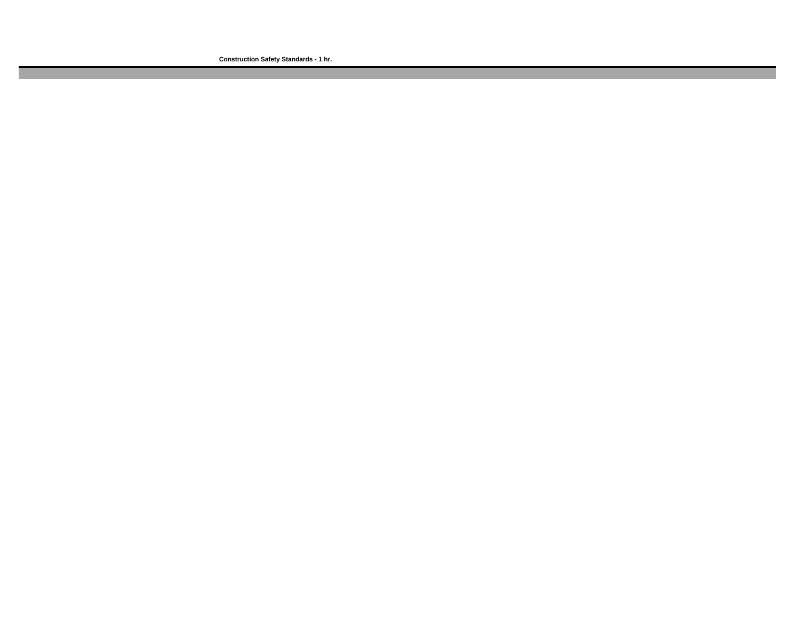**Construction Safety Standards - 1 hr.**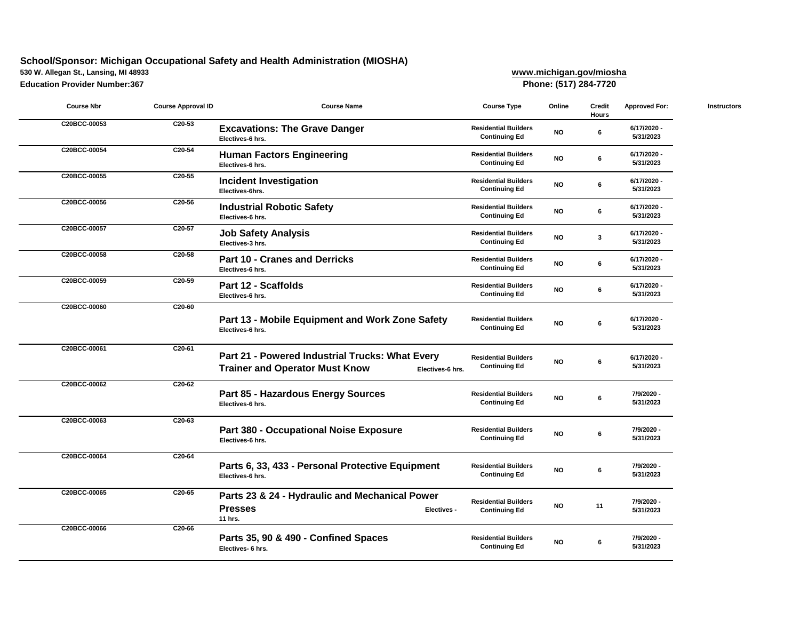# **School/Sponsor: Michigan Occupational Safety and Health Administration (MIOSHA)**

**530 W. Allegan St., Lansing, MI 48933 [www.m](http://www.michigan.gov/miosha)ichigan.gov/miosha**

**Education Provider Number:367 [Pho](http://www.missdig811.org/)ne: (517) 284-7720**

| <b>Course Nbr</b> | <b>Course Approval ID</b> | <b>Course Name</b>                                                                                           | <b>Course Type</b>                                  | Online    | <b>Credit</b><br><b>Hours</b> | <b>Approved For:</b>     | <b>Instructors</b> |
|-------------------|---------------------------|--------------------------------------------------------------------------------------------------------------|-----------------------------------------------------|-----------|-------------------------------|--------------------------|--------------------|
| C20BCC-00053      | C20-53                    | <b>Excavations: The Grave Danger</b><br>Electives-6 hrs.                                                     | <b>Residential Builders</b><br><b>Continuing Ed</b> | <b>NO</b> | 6                             | 6/17/2020 -<br>5/31/2023 |                    |
| C20BCC-00054      | C20-54                    | <b>Human Factors Engineering</b><br>Electives-6 hrs.                                                         | <b>Residential Builders</b><br><b>Continuing Ed</b> | <b>NO</b> | 6                             | 6/17/2020 -<br>5/31/2023 |                    |
| C20BCC-00055      | C20-55                    | <b>Incident Investigation</b><br>Electives-6hrs.                                                             | <b>Residential Builders</b><br><b>Continuing Ed</b> | <b>NO</b> | 6                             | 6/17/2020 -<br>5/31/2023 |                    |
| C20BCC-00056      | C20-56                    | <b>Industrial Robotic Safety</b><br>Electives-6 hrs.                                                         | <b>Residential Builders</b><br><b>Continuing Ed</b> | <b>NO</b> | 6                             | 6/17/2020 -<br>5/31/2023 |                    |
| C20BCC-00057      | C20-57                    | <b>Job Safety Analysis</b><br>Electives-3 hrs.                                                               | <b>Residential Builders</b><br><b>Continuing Ed</b> | <b>NO</b> | $\mathbf{3}$                  | 6/17/2020 -<br>5/31/2023 |                    |
| C20BCC-00058      | C20-58                    | <b>Part 10 - Cranes and Derricks</b><br>Electives-6 hrs.                                                     | <b>Residential Builders</b><br><b>Continuing Ed</b> | <b>NO</b> | 6                             | 6/17/2020<br>5/31/2023   |                    |
| C20BCC-00059      | C20-59                    | Part 12 - Scaffolds<br>Electives-6 hrs.                                                                      | <b>Residential Builders</b><br><b>Continuing Ed</b> | <b>NO</b> | 6                             | 6/17/2020 -<br>5/31/2023 |                    |
| C20BCC-00060      | C20-60                    | Part 13 - Mobile Equipment and Work Zone Safety<br>Electives-6 hrs.                                          | <b>Residential Builders</b><br><b>Continuing Ed</b> | <b>NO</b> | 6                             | 6/17/2020 -<br>5/31/2023 |                    |
| C20BCC-00061      | C20-61                    | Part 21 - Powered Industrial Trucks: What Every<br><b>Trainer and Operator Must Know</b><br>Electives-6 hrs. | <b>Residential Builders</b><br><b>Continuing Ed</b> | <b>NO</b> | $\boldsymbol{6}$              | 6/17/2020 -<br>5/31/2023 |                    |
| C20BCC-00062      | C20-62                    | Part 85 - Hazardous Energy Sources<br>Electives-6 hrs.                                                       | <b>Residential Builders</b><br><b>Continuing Ed</b> | <b>NO</b> | 6                             | 7/9/2020 -<br>5/31/2023  |                    |
| C20BCC-00063      | C20-63                    | <b>Part 380 - Occupational Noise Exposure</b><br>Electives-6 hrs.                                            | <b>Residential Builders</b><br><b>Continuing Ed</b> | <b>NO</b> | 6                             | 7/9/2020 -<br>5/31/2023  |                    |
| C20BCC-00064      | C20-64                    | Parts 6, 33, 433 - Personal Protective Equipment<br>Electives-6 hrs.                                         | <b>Residential Builders</b><br><b>Continuing Ed</b> | <b>NO</b> | 6                             | 7/9/2020 -<br>5/31/2023  |                    |
| C20BCC-00065      | $C20-65$                  | Parts 23 & 24 - Hydraulic and Mechanical Power<br><b>Presses</b><br><b>Electives -</b><br>11 hrs.            | <b>Residential Builders</b><br><b>Continuing Ed</b> | <b>NO</b> | 11                            | 7/9/2020 -<br>5/31/2023  |                    |
| C20BCC-00066      | C20-66                    | Parts 35, 90 & 490 - Confined Spaces<br>Electives- 6 hrs.                                                    | <b>Residential Builders</b><br><b>Continuing Ed</b> | <b>NO</b> | 6                             | 7/9/2020 -<br>5/31/2023  |                    |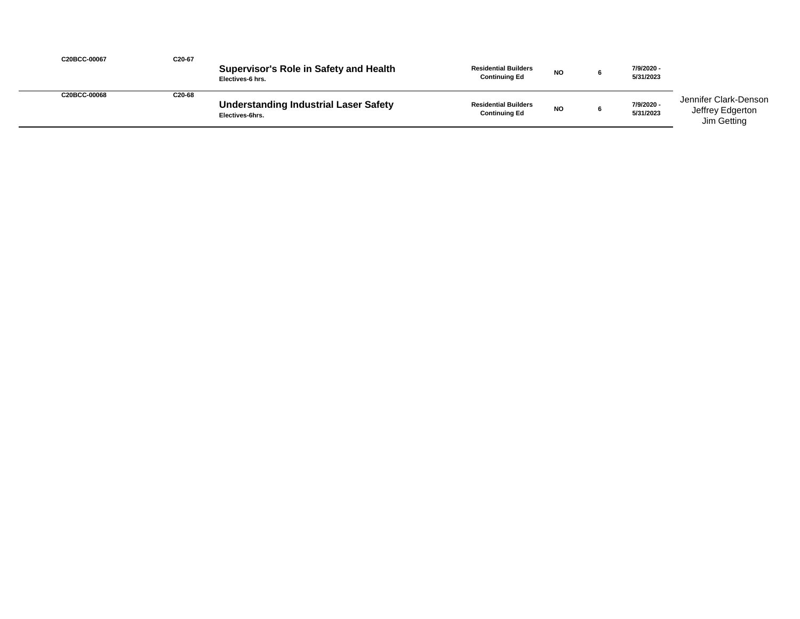| C20BCC-00067 | C20-67 | <b>Supervisor's Role in Safety and Health</b><br>Electives-6 hrs. | <b>Residential Builders</b><br><b>Continuing Ed</b> | <b>NO</b> | 7/9/2020 -<br>5/31/2023 |                                                          |
|--------------|--------|-------------------------------------------------------------------|-----------------------------------------------------|-----------|-------------------------|----------------------------------------------------------|
| C20BCC-00068 | C20-68 | <b>Understanding Industrial Laser Safety</b><br>Electives-6hrs.   | <b>Residential Builders</b><br><b>Continuing Ed</b> | <b>NO</b> | 7/9/2020 -<br>5/31/2023 | Jennifer Clark-Denson<br>Jeffrey Edgerton<br>Jim Getting |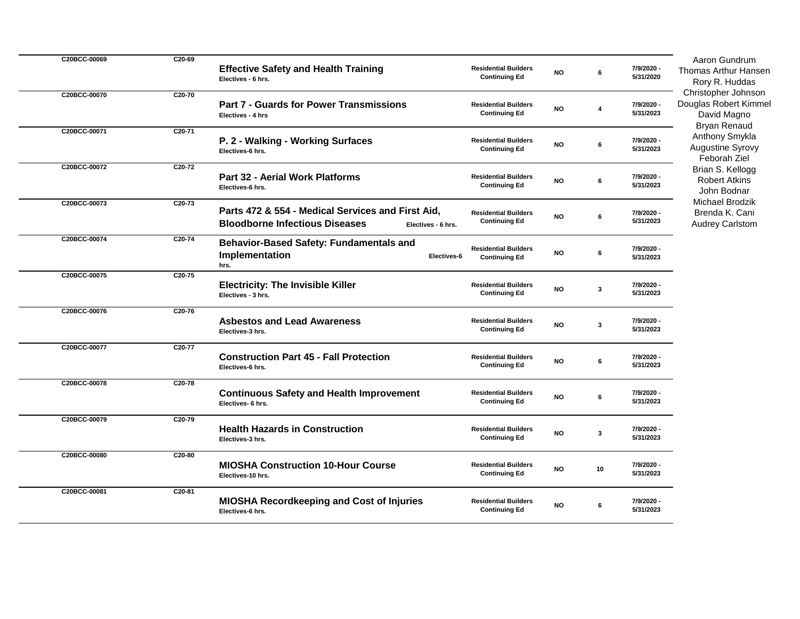| C20BCC-00069 | C20-69 | <b>Effective Safety and Health Training</b><br>Electives - 6 hrs.                                                | <b>Residential Builders</b><br><b>Continuing Ed</b> | <b>NO</b>     | 6  | 7/9/2020 -<br>5/31/2020 | Aaron Gundrum<br><b>Thomas Arthur Hansen</b><br>Rory R. Huddas                   |
|--------------|--------|------------------------------------------------------------------------------------------------------------------|-----------------------------------------------------|---------------|----|-------------------------|----------------------------------------------------------------------------------|
| C20BCC-00070 | C20-70 | <b>Part 7 - Guards for Power Transmissions</b><br>Electives - 4 hrs                                              | <b>Residential Builders</b><br><b>Continuing Ed</b> | $\mathsf{NO}$ | 4  | 7/9/2020 -<br>5/31/2023 | Christopher Johnson<br>Douglas Robert Kimmel<br>David Magno                      |
| C20BCC-00071 | C20-71 | P. 2 - Walking - Working Surfaces<br>Electives-6 hrs.                                                            | <b>Residential Builders</b><br><b>Continuing Ed</b> | $\mathsf{NO}$ | 6  | 7/9/2020 -<br>5/31/2023 | <b>Bryan Renaud</b><br>Anthony Smykla<br><b>Augustine Syrovy</b><br>Feborah Ziel |
| C20BCC-00072 | C20-72 | Part 32 - Aerial Work Platforms<br>Electives-6 hrs.                                                              | <b>Residential Builders</b><br><b>Continuing Ed</b> | $\mathsf{NO}$ | 6  | 7/9/2020 -<br>5/31/2023 | Brian S. Kellogg<br><b>Robert Atkins</b><br>John Bodnar                          |
| C20BCC-00073 | C20-73 | Parts 472 & 554 - Medical Services and First Aid,<br><b>Bloodborne Infectious Diseases</b><br>Electives - 6 hrs. | <b>Residential Builders</b><br><b>Continuing Ed</b> | <b>NO</b>     | 6  | 7/9/2020 -<br>5/31/2023 | <b>Michael Brodzik</b><br>Brenda K. Cani<br><b>Audrey Carlstom</b>               |
| C20BCC-00074 | C20-74 | <b>Behavior-Based Safety: Fundamentals and</b><br>Implementation<br>Electives-6<br>hrs.                          | <b>Residential Builders</b><br><b>Continuing Ed</b> | <b>NO</b>     | 6  | 7/9/2020 -<br>5/31/2023 |                                                                                  |
| C20BCC-00075 | C20-75 | <b>Electricity: The Invisible Killer</b><br>Electives - 3 hrs.                                                   | <b>Residential Builders</b><br><b>Continuing Ed</b> | $\mathsf{NO}$ | 3  | 7/9/2020 -<br>5/31/2023 |                                                                                  |
| C20BCC-00076 | C20-76 | <b>Asbestos and Lead Awareness</b><br>Electives-3 hrs.                                                           | <b>Residential Builders</b><br><b>Continuing Ed</b> | <b>NO</b>     | 3  | 7/9/2020 -<br>5/31/2023 |                                                                                  |
| C20BCC-00077 | C20-77 | <b>Construction Part 45 - Fall Protection</b><br>Electives-6 hrs.                                                | <b>Residential Builders</b><br><b>Continuing Ed</b> | <b>NO</b>     | 6  | 7/9/2020 -<br>5/31/2023 |                                                                                  |
| C20BCC-00078 | C20-78 | <b>Continuous Safety and Health Improvement</b><br>Electives- 6 hrs.                                             | <b>Residential Builders</b><br><b>Continuing Ed</b> | <b>NO</b>     | 6  | 7/9/2020 -<br>5/31/2023 |                                                                                  |
| C20BCC-00079 | C20-79 | <b>Health Hazards in Construction</b><br>Electives-3 hrs.                                                        | <b>Residential Builders</b><br><b>Continuing Ed</b> | $\mathsf{NO}$ | 3  | 7/9/2020 -<br>5/31/2023 |                                                                                  |
| C20BCC-00080 | C20-80 | <b>MIOSHA Construction 10-Hour Course</b><br>Electives-10 hrs.                                                   | <b>Residential Builders</b><br><b>Continuing Ed</b> | $\mathsf{NO}$ | 10 | 7/9/2020 -<br>5/31/2023 |                                                                                  |
| C20BCC-00081 | C20-81 | <b>MIOSHA Recordkeeping and Cost of Injuries</b><br>Electives-6 hrs.                                             | <b>Residential Builders</b><br><b>Continuing Ed</b> | $\mathsf{NO}$ | 6  | 7/9/2020 -<br>5/31/2023 |                                                                                  |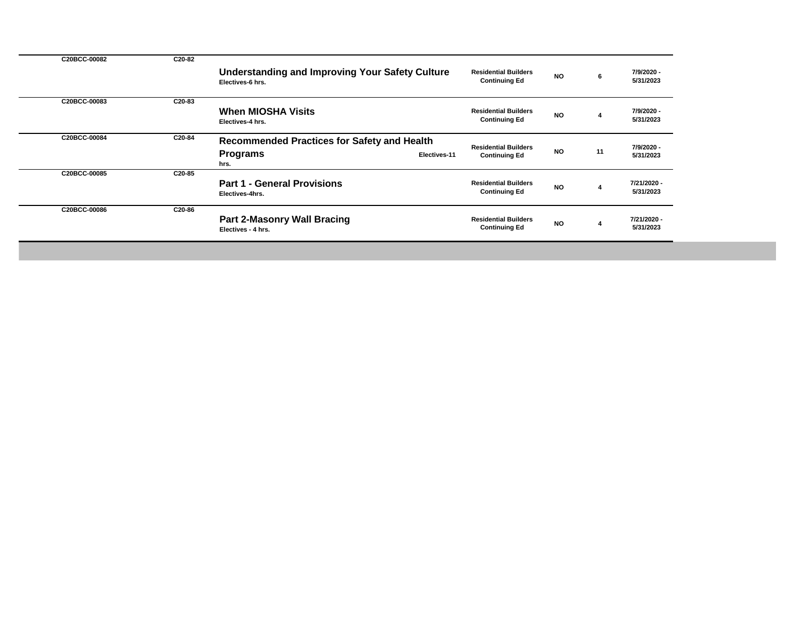| C20BCC-00082 | C20-82 |                                                                                               |                                                     |           |    |                          |
|--------------|--------|-----------------------------------------------------------------------------------------------|-----------------------------------------------------|-----------|----|--------------------------|
|              |        | <b>Understanding and Improving Your Safety Culture</b><br>Electives-6 hrs.                    | <b>Residential Builders</b><br><b>Continuing Ed</b> | <b>NO</b> | 6  | 7/9/2020 -<br>5/31/2023  |
| C20BCC-00083 | C20-83 | <b>When MIOSHA Visits</b><br>Electives-4 hrs.                                                 | <b>Residential Builders</b><br><b>Continuing Ed</b> | <b>NO</b> |    | 7/9/2020 -<br>5/31/2023  |
| C20BCC-00084 | C20-84 | <b>Recommended Practices for Safety and Health</b><br><b>Programs</b><br>Electives-11<br>hrs. | <b>Residential Builders</b><br><b>Continuing Ed</b> | <b>NO</b> | 11 | 7/9/2020 -<br>5/31/2023  |
| C20BCC-00085 | C20-85 | <b>Part 1 - General Provisions</b><br>Electives-4hrs.                                         | <b>Residential Builders</b><br><b>Continuing Ed</b> | <b>NO</b> |    | 7/21/2020 -<br>5/31/2023 |
| C20BCC-00086 | C20-86 | <b>Part 2-Masonry Wall Bracing</b><br>Electives - 4 hrs.                                      | <b>Residential Builders</b><br><b>Continuing Ed</b> | <b>NO</b> |    | 7/21/2020 -<br>5/31/2023 |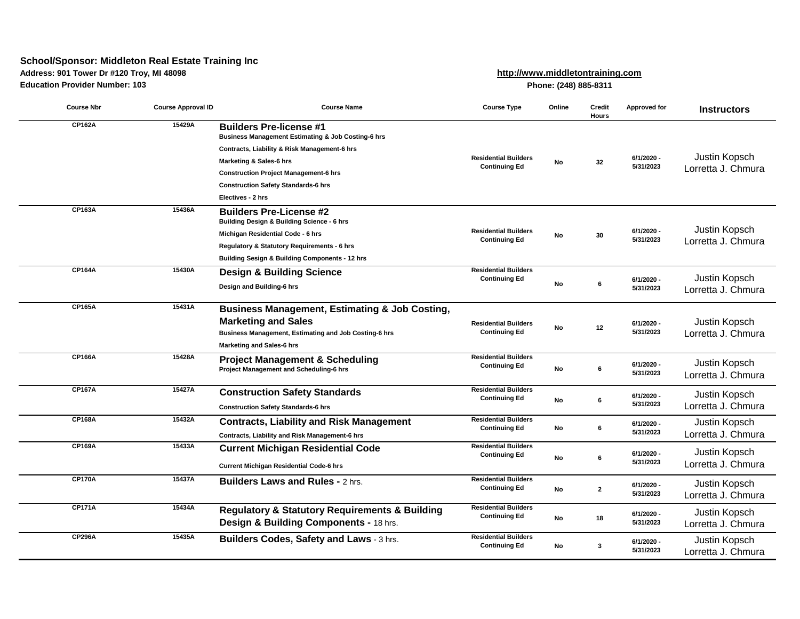# **School/Sponsor: Middleton Real Estate Training Inc**

## **Address: 901 Tower Dr #120 Troy, MI 48098**

**Education Provider Number: 103**

**[http://www](javascript:sponsorSiteWindow().middletontraining.com**

**Phone: (248) 885-8311**

| <b>Course Nbr</b> | <b>Course Approval ID</b> | <b>Course Name</b>                                                                                                                                                                                                                                                                                       | <b>Course Type</b>                                  | Online    | <b>Credit</b><br><b>Hours</b> | <b>Approved for</b>     | <b>Instructors</b>                  |
|-------------------|---------------------------|----------------------------------------------------------------------------------------------------------------------------------------------------------------------------------------------------------------------------------------------------------------------------------------------------------|-----------------------------------------------------|-----------|-------------------------------|-------------------------|-------------------------------------|
| <b>CP162A</b>     | 15429A                    | <b>Builders Pre-license #1</b><br><b>Business Management Estimating &amp; Job Costing-6 hrs</b><br>Contracts, Liability & Risk Management-6 hrs<br><b>Marketing &amp; Sales-6 hrs</b><br><b>Construction Project Management-6 hrs</b><br><b>Construction Safety Standards-6 hrs</b><br>Electives - 2 hrs | <b>Residential Builders</b><br><b>Continuing Ed</b> | No        | 32                            | 6/1/2020 -<br>5/31/2023 | Justin Kopsch<br>Lorretta J. Chmura |
| <b>CP163A</b>     | 15436A                    | <b>Builders Pre-License #2</b><br><b>Building Design &amp; Building Science - 6 hrs</b><br>Michigan Residential Code - 6 hrs<br>Regulatory & Statutory Requirements - 6 hrs<br><b>Building Sesign &amp; Building Components - 12 hrs</b>                                                                 | <b>Residential Builders</b><br><b>Continuing Ed</b> | No        | 30                            | 6/1/2020 -<br>5/31/2023 | Justin Kopsch<br>Lorretta J. Chmura |
| <b>CP164A</b>     | 15430A                    | <b>Design &amp; Building Science</b><br>Design and Building-6 hrs                                                                                                                                                                                                                                        | <b>Residential Builders</b><br><b>Continuing Ed</b> | <b>No</b> | 6                             | 6/1/2020 -<br>5/31/2023 | Justin Kopsch<br>Lorretta J. Chmura |
| <b>CP165A</b>     | 15431A                    | <b>Business Management, Estimating &amp; Job Costing,</b><br><b>Marketing and Sales</b><br>Business Management, Estimating and Job Costing-6 hrs<br><b>Marketing and Sales-6 hrs</b>                                                                                                                     | <b>Residential Builders</b><br><b>Continuing Ed</b> | No        | 12                            | 6/1/2020 -<br>5/31/2023 | Justin Kopsch<br>Lorretta J. Chmura |
| <b>CP166A</b>     | 15428A                    | <b>Project Management &amp; Scheduling</b><br>Project Management and Scheduling-6 hrs                                                                                                                                                                                                                    | <b>Residential Builders</b><br><b>Continuing Ed</b> | <b>No</b> | 6                             | 6/1/2020 -<br>5/31/2023 | Justin Kopsch<br>Lorretta J. Chmura |
| <b>CP167A</b>     | 15427A                    | <b>Construction Safety Standards</b><br><b>Construction Safety Standards-6 hrs</b>                                                                                                                                                                                                                       | <b>Residential Builders</b><br><b>Continuing Ed</b> | <b>No</b> | 6                             | 6/1/2020 -<br>5/31/2023 | Justin Kopsch<br>Lorretta J. Chmura |
| <b>CP168A</b>     | 15432A                    | <b>Contracts, Liability and Risk Management</b><br>Contracts, Liability and Risk Management-6 hrs                                                                                                                                                                                                        | <b>Residential Builders</b><br><b>Continuing Ed</b> | No        | 6                             | 6/1/2020 -<br>5/31/2023 | Justin Kopsch<br>Lorretta J. Chmura |
| <b>CP169A</b>     | 15433A                    | <b>Current Michigan Residential Code</b><br><b>Current Michigan Residential Code-6 hrs</b>                                                                                                                                                                                                               | <b>Residential Builders</b><br><b>Continuing Ed</b> | <b>No</b> | 6                             | 6/1/2020 -<br>5/31/2023 | Justin Kopsch<br>Lorretta J. Chmura |
| <b>CP170A</b>     | 15437A                    | <b>Builders Laws and Rules - 2 hrs.</b>                                                                                                                                                                                                                                                                  | <b>Residential Builders</b><br><b>Continuing Ed</b> | No        | $\mathbf{2}$                  | 6/1/2020 -<br>5/31/2023 | Justin Kopsch<br>Lorretta J. Chmura |
| <b>CP171A</b>     | 15434A                    | <b>Regulatory &amp; Statutory Requirements &amp; Building</b><br>Design & Building Components - 18 hrs.                                                                                                                                                                                                  | <b>Residential Builders</b><br><b>Continuing Ed</b> | No        | 18                            | 6/1/2020 -<br>5/31/2023 | Justin Kopsch<br>Lorretta J. Chmura |
| <b>CP296A</b>     | 15435A                    | Builders Codes, Safety and Laws - 3 hrs.                                                                                                                                                                                                                                                                 | <b>Residential Builders</b><br><b>Continuing Ed</b> | No        | 3                             | 6/1/2020 -<br>5/31/2023 | Justin Kopsch<br>Lorretta J. Chmura |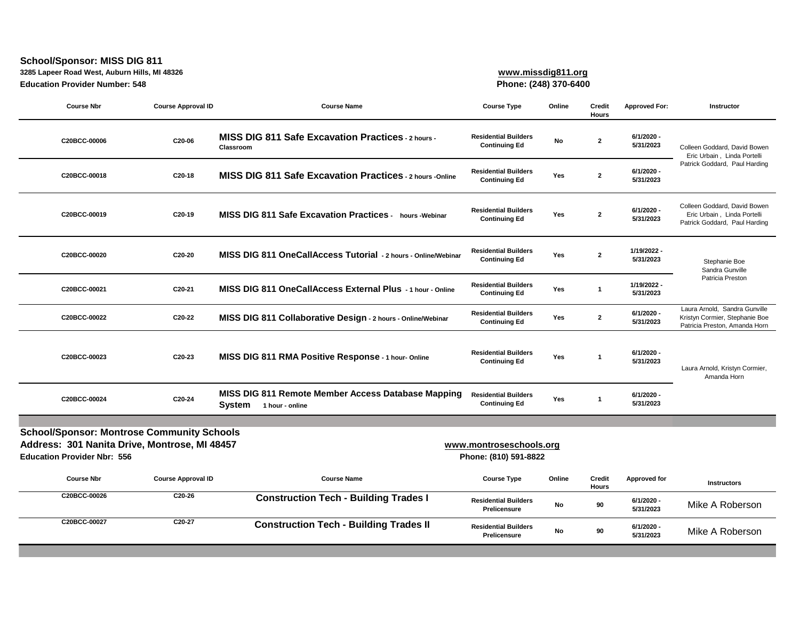# **School/Sponsor: MISS DIG 811**

**3285 Lapeer Road West, Auburn Hills, MI 48326**

**Education Provider Number: 548**

# **[www.miss](http://www.missdig811.org/)dig811.org**

**[Phone: \(24](http://www.missdig811.org/)8) 370-6400**

| <b>Course Nbr</b>                                                                                                                                                                            | <b>Course Approval ID</b> | <b>Course Name</b>                                                           | <b>Course Type</b>                                  | Online     | <b>Credit</b><br><b>Hours</b> | <b>Approved For:</b>     | <b>Instructor</b>                                                                                |  |
|----------------------------------------------------------------------------------------------------------------------------------------------------------------------------------------------|---------------------------|------------------------------------------------------------------------------|-----------------------------------------------------|------------|-------------------------------|--------------------------|--------------------------------------------------------------------------------------------------|--|
| C20BCC-00006                                                                                                                                                                                 | C20-06                    | <b>MISS DIG 811 Safe Excavation Practices - 2 hours -</b><br>Classroom       | <b>Residential Builders</b><br><b>Continuing Ed</b> | No         | $\mathbf{2}$                  | 6/1/2020 -<br>5/31/2023  | Colleen Goddard, David Bowen<br>Eric Urbain, Linda Portelli                                      |  |
| C20BCC-00018                                                                                                                                                                                 | C20-18                    | <b>MISS DIG 811 Safe Excavation Practices - 2 hours -Online</b>              | <b>Residential Builders</b><br><b>Continuing Ed</b> | Yes        | $\mathbf{2}$                  | 6/1/2020 -<br>5/31/2023  | Patrick Goddard, Paul Harding                                                                    |  |
| C20BCC-00019                                                                                                                                                                                 | C20-19                    | <b>MISS DIG 811 Safe Excavation Practices - hours -Webinar</b>               | <b>Residential Builders</b><br><b>Continuing Ed</b> | Yes        | $\mathbf{2}$                  | 6/1/2020 -<br>5/31/2023  | Colleen Goddard, David Bowen<br>Eric Urbain, Linda Portelli<br>Patrick Goddard, Paul Harding     |  |
| C20BCC-00020                                                                                                                                                                                 | C20-20                    | MISS DIG 811 OneCallAccess Tutorial - 2 hours - Online/Webinar               | <b>Residential Builders</b><br><b>Continuing Ed</b> | Yes        | $\mathbf{2}$                  | 1/19/2022 -<br>5/31/2023 | Stephanie Boe<br>Sandra Gunville                                                                 |  |
| C20BCC-00021                                                                                                                                                                                 | C20-21                    | MISS DIG 811 OneCallAccess External Plus - 1 hour - Online                   | <b>Residential Builders</b><br><b>Continuing Ed</b> | Yes        | -1                            | 1/19/2022 -<br>5/31/2023 | Patricia Preston                                                                                 |  |
| C20BCC-00022                                                                                                                                                                                 | C20-22                    | MISS DIG 811 Collaborative Design - 2 hours - Online/Webinar                 | <b>Residential Builders</b><br><b>Continuing Ed</b> | Yes        | $\mathbf 2$                   | 6/1/2020 -<br>5/31/2023  | Laura Arnold, Sandra Gunville<br>Kristyn Cormier, Stephanie Boe<br>Patricia Preston, Amanda Horn |  |
| C20BCC-00023                                                                                                                                                                                 | C20-23                    | MISS DIG 811 RMA Positive Response - 1 hour-Online                           | <b>Residential Builders</b><br><b>Continuing Ed</b> | Yes        |                               | 6/1/2020 -<br>5/31/2023  | Laura Arnold, Kristyn Cormier,<br>Amanda Horn                                                    |  |
| C20BCC-00024                                                                                                                                                                                 | C20-24                    | MISS DIG 811 Remote Member Access Database Mapping<br>System 1 hour - online | <b>Residential Builders</b><br><b>Continuing Ed</b> | Yes        |                               | 6/1/2020 -<br>5/31/2023  |                                                                                                  |  |
|                                                                                                                                                                                              |                           |                                                                              |                                                     |            |                               |                          |                                                                                                  |  |
| <b>School/Sponsor: Montrose Community Schools</b><br>Address: 301 Nanita Drive, Montrose, MI 48457<br>www.montroseschools.org<br><b>Education Provider Nbr: 556</b><br>Phone: (810) 591-8822 |                           |                                                                              |                                                     |            |                               |                          |                                                                                                  |  |
| <b>Course Nbr</b>                                                                                                                                                                            | <b>Course Approval ID</b> | <b>Course Name</b>                                                           | <b>Course Type</b>                                  | Online     | <b>Credit</b><br><b>Hours</b> | Approved for             | <b>Instructors</b>                                                                               |  |
| C20BCC-00026                                                                                                                                                                                 | C20-26                    | <b>Construction Tech - Building Trades I</b>                                 | <b>Residential Builders</b><br><b>Prelicensure</b>  | ${\sf No}$ | 90                            | 6/1/2020 -<br>5/31/2023  | Mike A Roberson                                                                                  |  |
| C20BCC-00027                                                                                                                                                                                 | C20-27                    | <b>Construction Tech - Building Trades II</b>                                | <b>Residential Builders</b><br><b>Prelicensure</b>  | No         | 90                            | 6/1/2020 -<br>5/31/2023  | Mike A Roberson                                                                                  |  |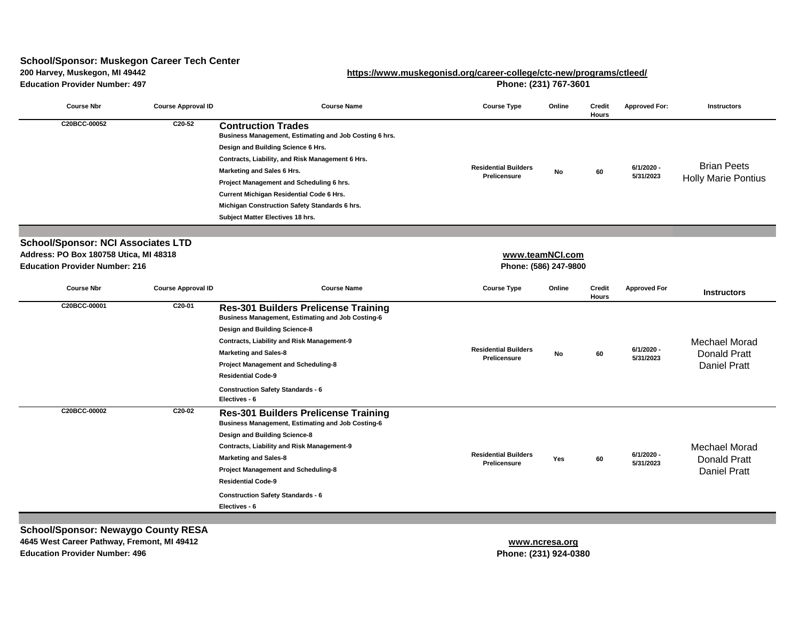# **200 Harvey, Muskegon, MI 49442 [https://www.muskegonisd.o](https://www.muskegonisd.org/career-college/ctc-new/programs/ctleed/)rg/career-college/ctc-new/programs/ctleed/ School/Sponsor: Muskegon Career Tech Center**

| <b>Education Provider Number: 497</b>                                           |                           | Phone: (231) 767-3601                                                                                                                                                                                                                                                                                                                                                                           |                                                    |           |                               |                         |                                                                    |  |
|---------------------------------------------------------------------------------|---------------------------|-------------------------------------------------------------------------------------------------------------------------------------------------------------------------------------------------------------------------------------------------------------------------------------------------------------------------------------------------------------------------------------------------|----------------------------------------------------|-----------|-------------------------------|-------------------------|--------------------------------------------------------------------|--|
| <b>Course Nbr</b>                                                               | <b>Course Approval ID</b> | <b>Course Name</b>                                                                                                                                                                                                                                                                                                                                                                              | <b>Course Type</b>                                 | Online    | <b>Credit</b><br><b>Hours</b> | <b>Approved For:</b>    | <b>Instructors</b>                                                 |  |
| C20BCC-00052                                                                    | $C20-52$                  | <b>Contruction Trades</b><br>Business Management, Estimating and Job Costing 6 hrs.<br>Design and Building Science 6 Hrs.<br>Contracts, Liability, and Risk Management 6 Hrs.<br>Marketing and Sales 6 Hrs.<br>Project Management and Scheduling 6 hrs.<br><b>Current Michigan Residential Code 6 Hrs.</b><br>Michigan Construction Safety Standards 6 hrs.<br>Subject Matter Electives 18 hrs. | <b>Residential Builders</b><br><b>Prelicensure</b> | No        | 60                            | 6/1/2020 -<br>5/31/2023 | <b>Brian Peets</b><br><b>Holly Marie Pontius</b>                   |  |
| <b>School/Sponsor: NCI Associates LTD</b>                                       |                           |                                                                                                                                                                                                                                                                                                                                                                                                 |                                                    |           |                               |                         |                                                                    |  |
| Address: PO Box 180758 Utica, MI 48318<br><b>Education Provider Number: 216</b> |                           |                                                                                                                                                                                                                                                                                                                                                                                                 | www.teamNCI.com<br>Phone: (586) 247-9800           |           |                               |                         |                                                                    |  |
| <b>Course Nbr</b>                                                               | <b>Course Approval ID</b> | <b>Course Name</b>                                                                                                                                                                                                                                                                                                                                                                              | <b>Course Type</b>                                 | Online    | <b>Credit</b><br><b>Hours</b> | <b>Approved For</b>     | <b>Instructors</b>                                                 |  |
| C20BCC-00001                                                                    | C20-01                    | <b>Res-301 Builders Prelicense Training</b><br><b>Business Management, Estimating and Job Costing-6</b><br><b>Design and Building Science-8</b><br><b>Contracts, Liability and Risk Management-9</b><br><b>Marketing and Sales-8</b><br><b>Project Management and Scheduling-8</b><br><b>Residential Code-9</b><br><b>Construction Safety Standards - 6</b><br>Electives - 6                    | <b>Residential Builders</b><br>Prelicensure        | <b>No</b> | 60                            | 6/1/2020 -<br>5/31/2023 | <b>Mechael Morad</b><br><b>Donald Pratt</b><br><b>Daniel Pratt</b> |  |
| C20BCC-00002                                                                    | C20-02                    | <b>Res-301 Builders Prelicense Training</b><br><b>Business Management, Estimating and Job Costing-6</b><br><b>Design and Building Science-8</b><br><b>Contracts, Liability and Risk Management-9</b><br><b>Marketing and Sales-8</b><br><b>Project Management and Scheduling-8</b><br><b>Residential Code-9</b><br><b>Construction Safety Standards - 6</b><br>Electives - 6                    | <b>Residential Builders</b><br><b>Prelicensure</b> | Yes       | 60                            | 6/1/2020 -<br>5/31/2023 | <b>Mechael Morad</b><br><b>Donald Pratt</b><br><b>Daniel Pratt</b> |  |

**School/Sponsor: Newaygo County RESA 4645 West Career Pathway, Fremont, MI 49412**

**Education Provider Number: 496**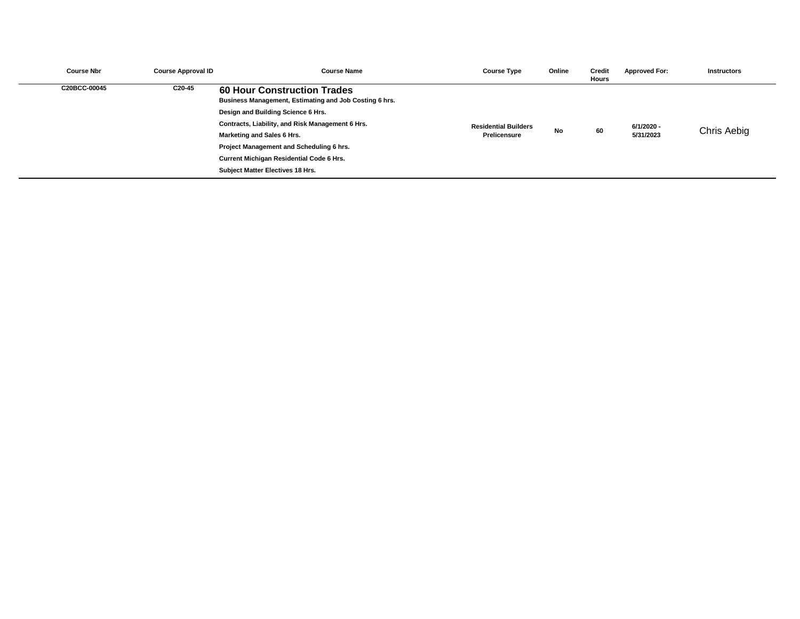| <b>Course Nbr</b> | <b>Course Approval ID</b> | <b>Course Name</b>                                                                           | <b>Course Type</b>          | Online    | Credit<br><b>Hours</b> | <b>Approved For:</b> | <b>Instructors</b> |
|-------------------|---------------------------|----------------------------------------------------------------------------------------------|-----------------------------|-----------|------------------------|----------------------|--------------------|
| C20BCC-00045      | C20-45                    | <b>60 Hour Construction Trades</b><br>Business Management, Estimating and Job Costing 6 hrs. |                             |           |                        |                      |                    |
|                   |                           | Design and Building Science 6 Hrs.                                                           |                             |           |                        |                      |                    |
|                   |                           | Contracts, Liability, and Risk Management 6 Hrs.                                             | <b>Residential Builders</b> |           |                        | 6/1/2020 -           |                    |
|                   |                           | Marketing and Sales 6 Hrs.                                                                   | <b>Prelicensure</b>         | <b>No</b> | 60                     | 5/31/2023            | Chris Aebig        |
|                   |                           | <b>Project Management and Scheduling 6 hrs.</b>                                              |                             |           |                        |                      |                    |
|                   |                           | <b>Current Michigan Residential Code 6 Hrs.</b>                                              |                             |           |                        |                      |                    |
|                   |                           | <b>Subject Matter Electives 18 Hrs.</b>                                                      |                             |           |                        |                      |                    |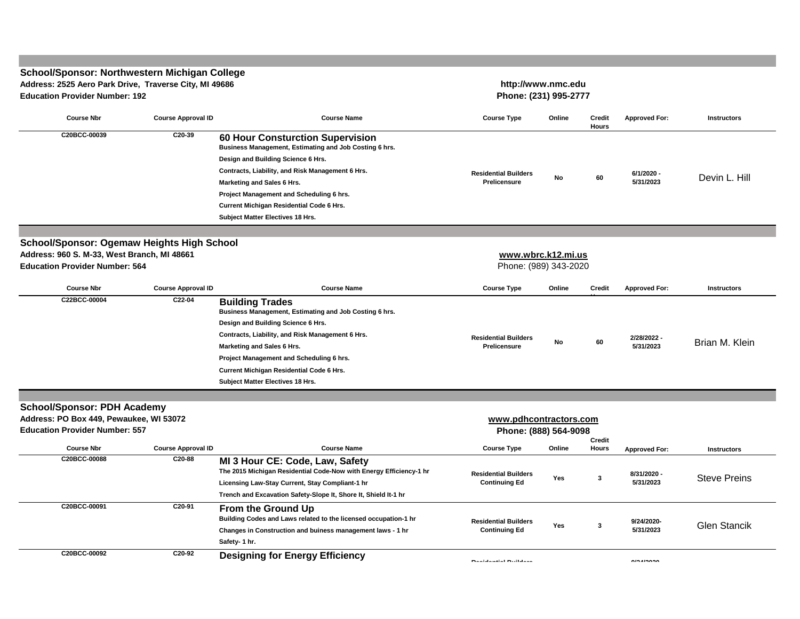#### **Course Nbr Course Approval ID Course Name Course Type Online Credit Hours Approved For: Instructors 60 Hour Consturction Supervision Business Management, Estimating and Job Costing 6 hrs. Design and Building Science 6 Hrs. Contracts, Liability, and Risk Management 6 Hrs. Marketing and Sales 6 Hrs. Project Management and Scheduling 6 hrs. Current Michigan Residential Code 6 Hrs. Subject Matter Electives 18 Hrs. Course Nbr Course Approval ID Course Name Course Type Online Credit Hours Approved For: Instructors Building Trades Business Management, Estimating and Job Costing 6 hrs. Design and Building Science 6 Hrs. Contracts, Liability, and Risk Management 6 Hrs. Marketing and Sales 6 Hrs. Project Management and Scheduling 6 hrs. Current Michigan Residential Code 6 Hrs. Subject Matter Electives 18 Hrs. Course Nbr Course Approval ID Course Name Course Type Online Credit Hours Approved For: Instructors MI 3 Hour CE: Code, Law, Safety The 2015 Michigan Residential Code-Now with Energy Efficiency-1 hr Licensing Law-Stay Current, Stay Compliant-1 hr Trench and Excavation Safety-Slope It, Shore It, Shield It-1 hr From the Ground Up Building Codes and Laws related to the licensed occupation-1 hr Changes in Construction and buiness management laws - 1 hr Safety- 1 hr. Designing for Energy Efficiency [www.wbr](http://www.wbrc.k12.mi.us/)c.k12.mi.us Education Provider Number: 564** Phone: (989) 343-2020 **C22BCC-00004 C22-04 Residential Builders Prelicensure No <sup>60</sup> 2/28/2022 - 5/31/2023** Brian M. Klein **Address: PO Box 449, Pewaukee, WI 53072 Education Provider Number: 557 School/Sponsor: Ogemaw Heights High School Address: 960 S. M-33, West Branch, MI 48661 Phone: (888) 564-9098 Residential Builders Continuing Ed Yes Address: 2525 Aero Park Drive, Traverse City, MI 49686 Education Provider Number: 192 C20BCC-00039 C20-39 School/Sponsor: PDH Academy 60 C20BCC-00088 C20-88 School/Sponsor: Northwestern Michigan College** Devin L. Hill **Residential Builders Prelicensure Residential Builders Continuing Ed Yes <sup>3</sup> 6/1/2020 - 5/31/2023 9/24/2020- 5/31/2023** Glen Stancik **3 http://www.nmc.edu Phone: (231) 995-2777 8/31/2020 - 5/31/2023** Steve Preins **[www.pdhco](http://www.pdhcontractors.com/)ntractors.com Residential Builders 9/24/2020- C20BCC-00092 C20-92 C20BCC-00091 C20-91**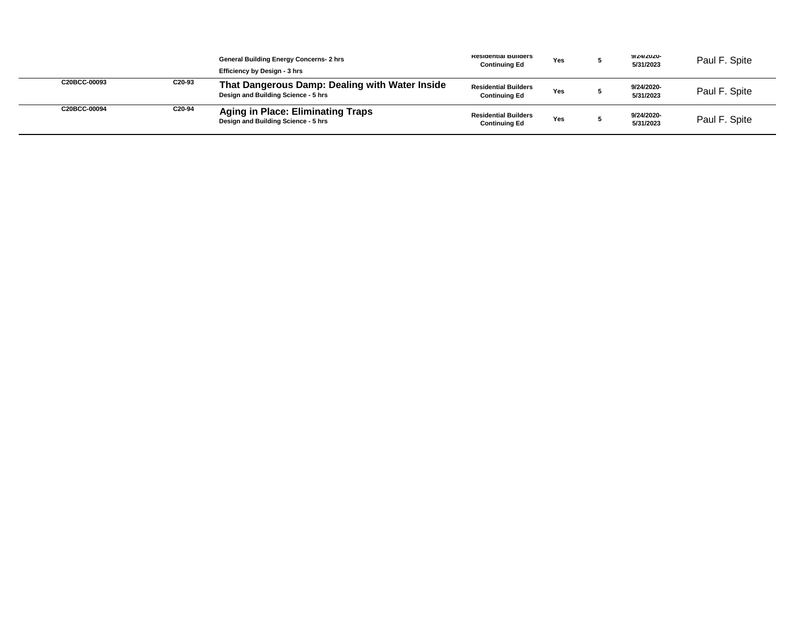|              |        | <b>General Building Energy Concerns- 2 hrs</b><br>Efficiency by Design - 3 hrs        | Residential Bullders<br><b>Continuing Ed</b>        | <b>Yes</b> | <b>YIZ4IZUZU-</b><br>5/31/2023 | Paul F. Spite |
|--------------|--------|---------------------------------------------------------------------------------------|-----------------------------------------------------|------------|--------------------------------|---------------|
| C20BCC-00093 | C20-93 | That Dangerous Damp: Dealing with Water Inside<br>Design and Building Science - 5 hrs | <b>Residential Builders</b><br><b>Continuing Ed</b> | Yes        | 9/24/2020-<br>5/31/2023        | Paul F. Spite |
| C20BCC-00094 | C20-94 | <b>Aging in Place: Eliminating Traps</b><br>Design and Building Science - 5 hrs       | <b>Residential Builders</b><br><b>Continuing Ed</b> | Yes        | 9/24/2020-<br>5/31/2023        | Paul F. Spite |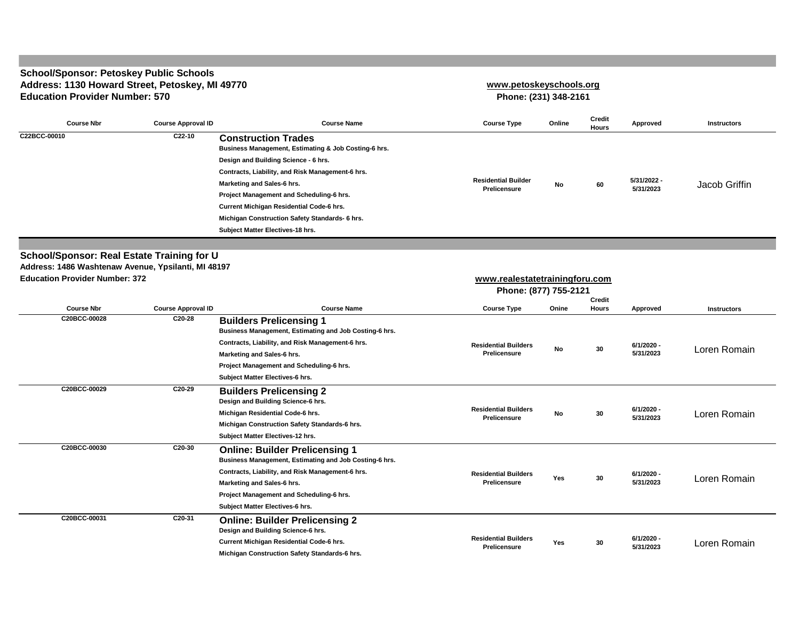#### **School/Sponsor: Petoskey Public Schools Address: 1130 Howard Street, Petoskey, MI 49770 Education Provider Number: 570**

#### **[www.petosk](http://www.petoskeyschools.org/)eyschools.org**

**Phone: (231) 348-2161**

| <b>Course Nbr</b>                                                                                        | <b>Course Approval ID</b> | <b>Course Name</b>                                                                                                                                                                                                                                                                                                                                                                         | <b>Course Type</b>                                      | Online | <b>Credit</b><br><b>Hours</b> | Approved                  | <b>Instructors</b> |
|----------------------------------------------------------------------------------------------------------|---------------------------|--------------------------------------------------------------------------------------------------------------------------------------------------------------------------------------------------------------------------------------------------------------------------------------------------------------------------------------------------------------------------------------------|---------------------------------------------------------|--------|-------------------------------|---------------------------|--------------------|
| C22BCC-00010                                                                                             | C22-10                    | <b>Construction Trades</b><br>Business Management, Estimating & Job Costing-6 hrs.<br>Design and Building Science - 6 hrs.<br>Contracts, Liability, and Risk Management-6 hrs.<br>Marketing and Sales-6 hrs.<br>Project Management and Scheduling-6 hrs.<br>Current Michigan Residential Code-6 hrs.<br>Michigan Construction Safety Standards- 6 hrs.<br>Subject Matter Electives-18 hrs. | <b>Residential Builder</b><br>Prelicensure              | No     | 60                            | 5/31/2022 -<br>5/31/2023  | Jacob Griffin      |
|                                                                                                          |                           |                                                                                                                                                                                                                                                                                                                                                                                            |                                                         |        |                               |                           |                    |
| <b>School/Sponsor: Real Estate Training for U</b><br>Address: 1486 Washtenaw Avenue, Ypsilanti, MI 48197 |                           |                                                                                                                                                                                                                                                                                                                                                                                            |                                                         |        |                               |                           |                    |
| <b>Education Provider Number: 372</b>                                                                    |                           |                                                                                                                                                                                                                                                                                                                                                                                            | www.realestatetrainingforu.com<br>Phone: (877) 755-2121 |        | Credit                        |                           |                    |
| <b>Course Nbr</b>                                                                                        | <b>Course Approval ID</b> | <b>Course Name</b>                                                                                                                                                                                                                                                                                                                                                                         | <b>Course Type</b>                                      | Onine  | <b>Hours</b>                  | <b>Approved</b>           | <b>Instructors</b> |
| C20BCC-00028                                                                                             | C20-28                    | <b>Builders Prelicensing 1</b><br>Business Management, Estimating and Job Costing-6 hrs.<br>Contracts, Liability, and Risk Management-6 hrs.<br>Marketing and Sales-6 hrs.<br>Project Management and Scheduling-6 hrs.<br>Subject Matter Electives-6 hrs.                                                                                                                                  | <b>Residential Builders</b><br><b>Prelicensure</b>      | No     | 30                            | $6/1/2020 -$<br>5/31/2023 | Loren Romain       |
| C20BCC-00029                                                                                             | C20-29                    | <b>Builders Prelicensing 2</b><br>Design and Building Science-6 hrs.<br>Michigan Residential Code-6 hrs.<br>Michigan Construction Safety Standards-6 hrs.<br>Subject Matter Electives-12 hrs.                                                                                                                                                                                              | <b>Residential Builders</b><br><b>Prelicensure</b>      | No     | 30                            | 6/1/2020 -<br>5/31/2023   | Loren Romain       |
| C20BCC-00030                                                                                             | C20-30                    | <b>Online: Builder Prelicensing 1</b><br>Business Management, Estimating and Job Costing-6 hrs.<br>Contracts, Liability, and Risk Management-6 hrs.<br>Marketing and Sales-6 hrs.<br>Project Management and Scheduling-6 hrs.<br>Subject Matter Electives-6 hrs.                                                                                                                           | <b>Residential Builders</b><br>Prelicensure             | Yes    | 30                            | $6/1/2020 -$<br>5/31/2023 | Loren Romain       |
| C20BCC-00031                                                                                             | $C20-31$                  | <b>Online: Builder Prelicensing 2</b><br>Design and Building Science-6 hrs.<br>Current Michigan Residential Code-6 hrs.<br>Michigan Construction Safety Standards-6 hrs.                                                                                                                                                                                                                   | <b>Residential Builders</b><br>Prelicensure             | Yes    | 30                            | 6/1/2020 -<br>5/31/2023   | Loren Romain       |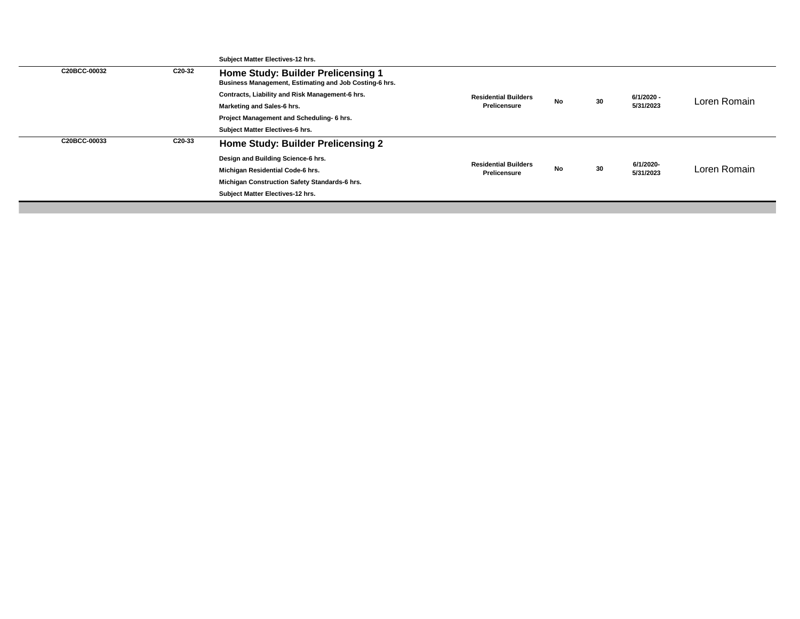|              |        | Subject Matter Electives-12 hrs.                                                                    |                                                    |           |    |                         |              |
|--------------|--------|-----------------------------------------------------------------------------------------------------|----------------------------------------------------|-----------|----|-------------------------|--------------|
| C20BCC-00032 | C20-32 | <b>Home Study: Builder Prelicensing 1</b><br>Business Management, Estimating and Job Costing-6 hrs. |                                                    |           |    |                         |              |
|              |        | Contracts, Liability and Risk Management-6 hrs.                                                     | <b>Residential Builders</b>                        |           | 30 | 6/1/2020 -<br>5/31/2023 | Loren Romain |
|              |        | <b>Marketing and Sales-6 hrs.</b>                                                                   | <b>Prelicensure</b>                                | No        |    |                         |              |
|              |        | Project Management and Scheduling- 6 hrs.                                                           |                                                    |           |    |                         |              |
|              |        | Subject Matter Electives-6 hrs.                                                                     |                                                    |           |    |                         |              |
| C20BCC-00033 | C20-33 | Home Study: Builder Prelicensing 2                                                                  |                                                    |           |    |                         |              |
|              |        | Design and Building Science-6 hrs.                                                                  |                                                    |           |    |                         |              |
|              |        | Michigan Residential Code-6 hrs.                                                                    | <b>Residential Builders</b><br><b>Prelicensure</b> | <b>No</b> | 30 | 6/1/2020-<br>5/31/2023  | Loren Romain |
|              |        | Michigan Construction Safety Standards-6 hrs.                                                       |                                                    |           |    |                         |              |
|              |        | Subject Matter Electives-12 hrs.                                                                    |                                                    |           |    |                         |              |
|              |        |                                                                                                     |                                                    |           |    |                         |              |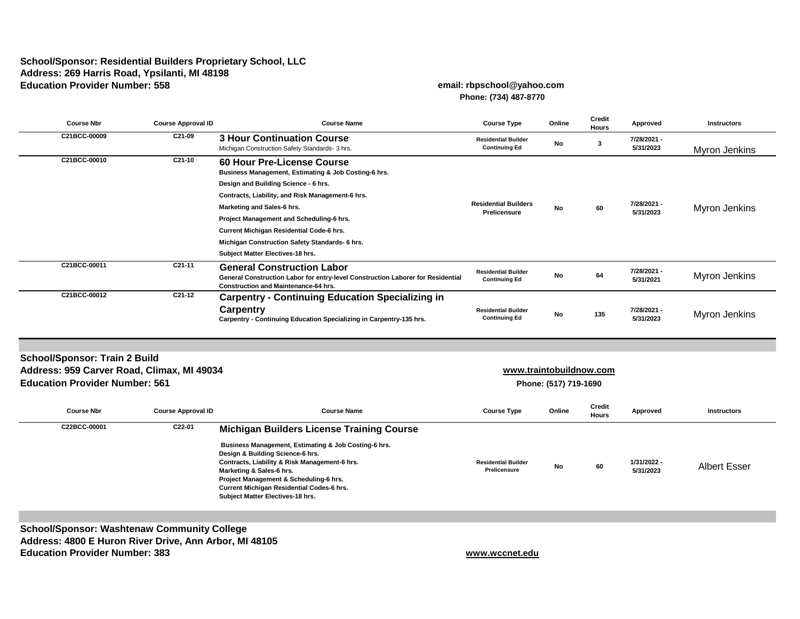## **School/Sponsor: Residential Builders Proprietary School, LLC Address: 269 Harris Road, Ypsilanti, MI 48198 Education Provider Number: 558 email: rbpschool@yahoo.com**

# **Phone: (734) 487-8770**

| <b>Course Nbr</b>                                                                                                           | <b>Course Approval ID</b> | <b>Course Name</b>                                                                                                                                                                                                                                                                                                                                                                                | <b>Course Type</b>                                 | Online                                           | <b>Credit</b><br><b>Hours</b> | <b>Approved</b>          | <b>Instructors</b>   |
|-----------------------------------------------------------------------------------------------------------------------------|---------------------------|---------------------------------------------------------------------------------------------------------------------------------------------------------------------------------------------------------------------------------------------------------------------------------------------------------------------------------------------------------------------------------------------------|----------------------------------------------------|--------------------------------------------------|-------------------------------|--------------------------|----------------------|
| C21BCC-00009                                                                                                                | C21-09                    | <b>3 Hour Continuation Course</b><br>Michigan Construction Safety Standards- 3 hrs.                                                                                                                                                                                                                                                                                                               | <b>Residential Builder</b><br><b>Continuing Ed</b> | No                                               | $\mathbf{3}$                  | 7/28/2021 -<br>5/31/2023 | <b>Myron Jenkins</b> |
| C21BCC-00010                                                                                                                | $C21-10$                  | <b>60 Hour Pre-License Course</b><br>Business Management, Estimating & Job Costing-6 hrs.<br>Design and Building Science - 6 hrs.<br>Contracts, Liability, and Risk Management-6 hrs.<br>Marketing and Sales-6 hrs.<br>Project Management and Scheduling-6 hrs.<br>Current Michigan Residential Code-6 hrs.<br>Michigan Construction Safety Standards- 6 hrs.<br>Subject Matter Electives-18 hrs. | <b>Residential Builders</b><br>Prelicensure        | No                                               | 60                            | 7/28/2021 -<br>5/31/2023 | <b>Myron Jenkins</b> |
| C21BCC-00011                                                                                                                | $C21-11$                  | <b>General Construction Labor</b><br>General Construction Labor for entry-level Construction Laborer for Residential<br><b>Construction and Maintenance-64 hrs.</b>                                                                                                                                                                                                                               | <b>Residential Builder</b><br><b>Continuing Ed</b> | No                                               | 64                            | 7/28/2021 -<br>5/31/2021 | <b>Myron Jenkins</b> |
| C21BCC-00012                                                                                                                | $C21-12$                  | <b>Carpentry - Continuing Education Specializing in</b><br>Carpentry<br>Carpentry - Continuing Education Specializing in Carpentry-135 hrs.                                                                                                                                                                                                                                                       | <b>Residential Builder</b><br><b>Continuing Ed</b> | No                                               | 135                           | 7/28/2021 -<br>5/31/2023 | <b>Myron Jenkins</b> |
|                                                                                                                             |                           |                                                                                                                                                                                                                                                                                                                                                                                                   |                                                    |                                                  |                               |                          |                      |
| <b>School/Sponsor: Train 2 Build</b><br>Address: 959 Carver Road, Climax, MI 49034<br><b>Education Provider Number: 561</b> |                           |                                                                                                                                                                                                                                                                                                                                                                                                   |                                                    | www.traintobuildnow.com<br>Phone: (517) 719-1690 |                               |                          |                      |
| <b>Course Nbr</b>                                                                                                           | <b>Course Approval ID</b> | <b>Course Name</b>                                                                                                                                                                                                                                                                                                                                                                                | <b>Course Type</b>                                 | Online                                           | <b>Credit</b><br><b>Hours</b> | <b>Approved</b>          | <b>Instructors</b>   |
| C22BCC-00001                                                                                                                | C22-01                    | <b>Michigan Builders License Training Course</b><br>Business Management, Estimating & Job Costing-6 hrs.<br>Design & Building Science-6 hrs.<br>Contracts, Liability & Risk Management-6 hrs.<br>Marketing & Sales-6 hrs.<br>Project Management & Scheduling-6 hrs.<br><b>Current Michigan Residential Codes-6 hrs.</b><br>Subject Matter Electives-18 hrs.                                       | <b>Residential Builder</b><br><b>Prelicensure</b>  | No                                               | 60                            | 1/31/2022 -<br>5/31/2023 | <b>Albert Esser</b>  |

**School/Sponsor: Washtenaw Community College Address: 4800 E Huron River Drive, Ann Arbor, MI 48105 Education Provider Number: 383 [w](http://www.wccnet.edu/)ww.wccnet.edu**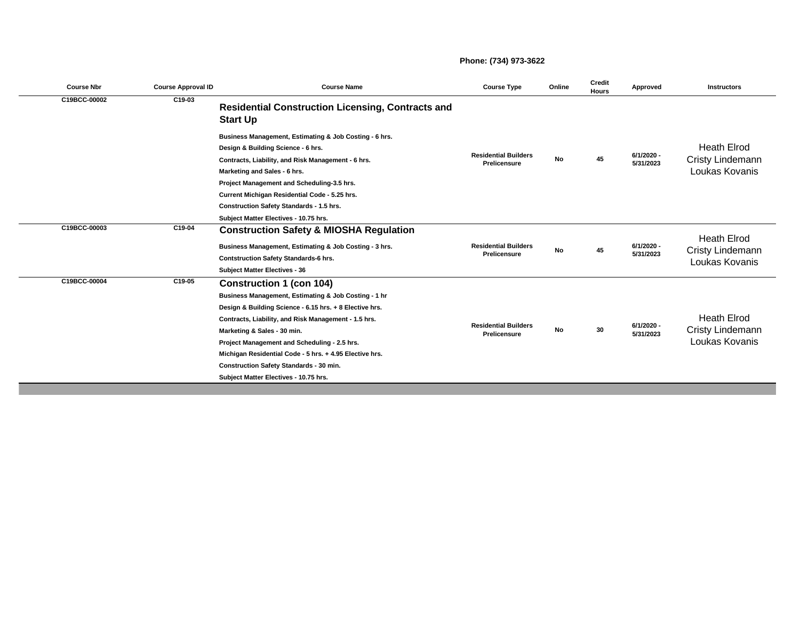#### **Phone: (734) 973-3622**

| <b>Course Nbr</b> | <b>Course Approval ID</b> | <b>Course Name</b>                                                                                                                                                                                                                                                                                                                                                                                                                              | <b>Course Type</b>                                 | Online    | <b>Credit</b><br><b>Hours</b> | Approved                | <b>Instructors</b>                                              |
|-------------------|---------------------------|-------------------------------------------------------------------------------------------------------------------------------------------------------------------------------------------------------------------------------------------------------------------------------------------------------------------------------------------------------------------------------------------------------------------------------------------------|----------------------------------------------------|-----------|-------------------------------|-------------------------|-----------------------------------------------------------------|
| C19BCC-00002      | C19-03                    | <b>Residential Construction Licensing, Contracts and</b><br><b>Start Up</b>                                                                                                                                                                                                                                                                                                                                                                     |                                                    |           |                               |                         |                                                                 |
|                   |                           | Business Management, Estimating & Job Costing - 6 hrs.<br>Design & Building Science - 6 hrs.<br>Contracts, Liability, and Risk Management - 6 hrs.<br>Marketing and Sales - 6 hrs.<br>Project Management and Scheduling-3.5 hrs.<br>Current Michigan Residential Code - 5.25 hrs.<br><b>Construction Safety Standards - 1.5 hrs.</b>                                                                                                            | <b>Residential Builders</b><br><b>Prelicensure</b> | <b>No</b> | 45                            | 6/1/2020 -<br>5/31/2023 | <b>Heath Elrod</b><br><b>Cristy Lindemann</b><br>Loukas Kovanis |
| C19BCC-00003      | C19-04                    | Subject Matter Electives - 10.75 hrs.<br><b>Construction Safety &amp; MIOSHA Regulation</b><br>Business Management, Estimating & Job Costing - 3 hrs.<br><b>Contstruction Safety Standards-6 hrs.</b><br><b>Subject Matter Electives - 36</b>                                                                                                                                                                                                   | <b>Residential Builders</b><br><b>Prelicensure</b> | <b>No</b> | 45                            | 6/1/2020 -<br>5/31/2023 | <b>Heath Elrod</b><br><b>Cristy Lindemann</b><br>Loukas Kovanis |
| C19BCC-00004      | C19-05                    | <b>Construction 1 (con 104)</b><br>Business Management, Estimating & Job Costing - 1 hr<br>Design & Building Science - 6.15 hrs. + 8 Elective hrs.<br>Contracts, Liability, and Risk Management - 1.5 hrs.<br>Marketing & Sales - 30 min.<br>Project Management and Scheduling - 2.5 hrs.<br>Michigan Residential Code - 5 hrs. + 4.95 Elective hrs.<br><b>Construction Safety Standards - 30 min.</b><br>Subject Matter Electives - 10.75 hrs. | <b>Residential Builders</b><br>Prelicensure        | No        | 30                            | 6/1/2020 -<br>5/31/2023 | <b>Heath Elrod</b><br><b>Cristy Lindemann</b><br>Loukas Kovanis |